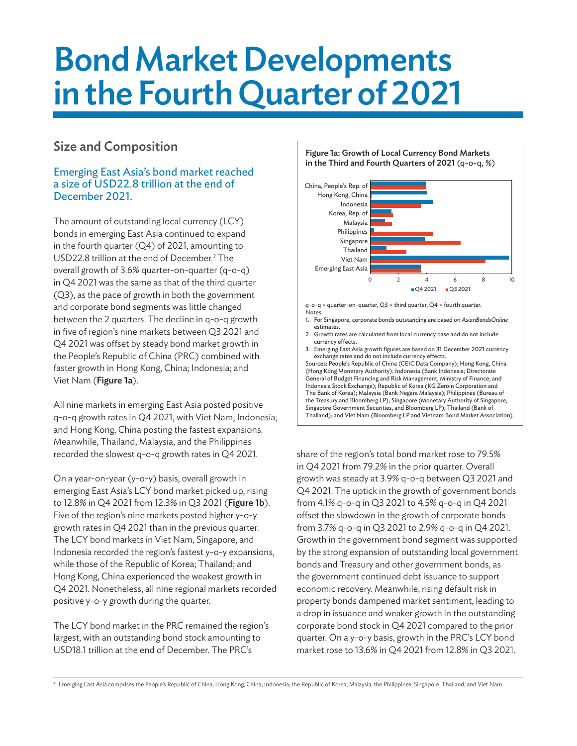# Bond Market Developments in the Fourth Quarter of 2021

## Size and Composition

### Emerging East Asia's bond market reached a size of USD22.8 trillion at the end of December 2021.

The amount of outstanding local currency (LCY) bonds in emerging East Asia continued to expand in the fourth quarter (Q4) of 2021, amounting to USD22.8 trillion at the end of December.<sup>2</sup> The overall growth of 3.6% quarter-on-quarter (q-o-q) in Q4 2021 was the same as that of the third quarter (Q3), as the pace of growth in both the government and corporate bond segments was little changed between the 2 quarters. The decline in q-o-q growth in five of region's nine markets between Q3 2021 and Q4 2021 was offset by steady bond market growth in the People's Republic of China (PRC) combined with faster growth in Hong Kong, China; Indonesia; and Viet Nam (Figure 1a).

All nine markets in emerging East Asia posted positive q-o-q growth rates in Q4 2021, with Viet Nam; Indonesia; and Hong Kong, China posting the fastest expansions. Meanwhile, Thailand, Malaysia, and the Philippines recorded the slowest q-o-q growth rates in Q4 2021.

On a year-on-year (y-o-y) basis, overall growth in emerging East Asia's LCY bond market picked up, rising to 12.8% in Q4 2021 from 12.3% in Q3 2021 (Figure 1b). Five of the region's nine markets posted higher y-o-y growth rates in Q4 2021 than in the previous quarter. The LCY bond markets in Viet Nam, Singapore, and Indonesia recorded the region's fastest y-o-y expansions, while those of the Republic of Korea; Thailand; and Hong Kong, China experienced the weakest growth in Q4 2021. Nonetheless, all nine regional markets recorded positive y-o-y growth during the quarter.

The LCY bond market in the PRC remained the region's largest, with an outstanding bond stock amounting to USD18.1 trillion at the end of December. The PRC's

Figure 1a: Growth of Local Currency Bond Markets in the Third and Fourth Quarters of 2021 (q-o-q, %)



q-o-q = quarter-on-quarter, Q3 = third quarter, Q4 = fourth quarter. Notes:

- 1. For Singapore, corporate bonds outstanding are based on *AsianBondsOnline* estimates
- 2. Growth rates are calculated from local currency base and do not include currency effects.
- 3. Emerging East Asia growth figures are based on 31 December 2021 currency exchange rates and do not include currency effects.

Sources: People's Republic of China (CEIC Data Company); Hong Kong, China (Hong Kong Monetary Authority); Indonesia (Bank Indonesia; Directorate General of Budget Financing and Risk Management, Ministry of Finance; and Indonesia Stock Exchange); Republic of Korea (KG Zeroin Corporation and The Bank of Korea); Malaysia (Bank Negara Malaysia); Philippines (Bureau of the Treasury and Bloomberg LP); Singapore (Monetary Authority of Singapore, Singapore Government Securities, and Bloomberg LP); Thailand (Bank of Thailand); and Viet Nam (Bloomberg LP and Vietnam Bond Market Association).

share of the region's total bond market rose to 79.5% in Q4 2021 from 79.2% in the prior quarter. Overall growth was steady at 3.9% q-o-q between Q3 2021 and Q4 2021. The uptick in the growth of government bonds from 4.1% q-o-q in Q3 2021 to 4.5% q-o-q in Q4 2021 offset the slowdown in the growth of corporate bonds from 3.7% q-o-q in Q3 2021 to 2.9% q-o-q in Q4 2021. Growth in the government bond segment was supported by the strong expansion of outstanding local government bonds and Treasury and other government bonds, as the government continued debt issuance to support economic recovery. Meanwhile, rising default risk in property bonds dampened market sentiment, leading to a drop in issuance and weaker growth in the outstanding corporate bond stock in Q4 2021 compared to the prior quarter. On a y-o-y basis, growth in the PRC's LCY bond market rose to 13.6% in Q4 2021 from 12.8% in Q3 2021.

 $^2$  Emerging East Asia comprises the People's Republic of China; Hong Kong, China; Indonesia; the Republic of Korea; Malaysia; the Philippines; Singapore; Thailand; and Viet Nam.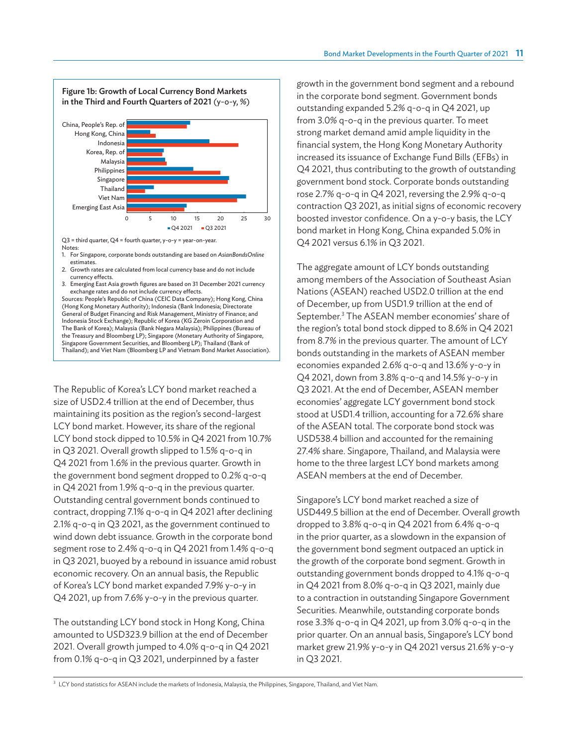

Q3 = third quarter, Q4 = fourth quarter, y-o-y = year-on-year. Notes:

- 1. For Singapore, corporate bonds outstanding are based on *AsianBondsOnline* estimates.
- 2. Growth rates are calculated from local currency base and do not include currency effects.
- 3. Emerging East Asia growth figures are based on 31 December 2021 currency exchange rates and do not include currency effects.

Sources: People's Republic of China (CEIC Data Company); Hong Kong, China (Hong Kong Monetary Authority); Indonesia (Bank Indonesia; Directorate General of Budget Financing and Risk Management, Ministry of Finance; and Indonesia Stock Exchange); Republic of Korea (KG Zeroin Corporation and The Bank of Korea); Malaysia (Bank Negara Malaysia); Philippines (Bureau of the Treasury and Bloomberg LP); Singapore (Monetary Authority of Singapore, Singapore Government Securities, and Bloomberg LP); Thailand (Bank of Thailand); and Viet Nam (Bloomberg LP and Vietnam Bond Market Association).

The Republic of Korea's LCY bond market reached a size of USD2.4 trillion at the end of December, thus maintaining its position as the region's second-largest LCY bond market. However, its share of the regional LCY bond stock dipped to 10.5% in Q4 2021 from 10.7% in Q3 2021. Overall growth slipped to 1.5% q-o-q in Q4 2021 from 1.6% in the previous quarter. Growth in the government bond segment dropped to 0.2% q-o-q in Q4 2021 from 1.9% q-o-q in the previous quarter. Outstanding central government bonds continued to contract, dropping 7.1% q-o-q in Q4 2021 after declining 2.1% q-o-q in Q3 2021, as the government continued to wind down debt issuance. Growth in the corporate bond segment rose to 2.4% q-o-q in Q4 2021 from 1.4% q-o-q in Q3 2021, buoyed by a rebound in issuance amid robust economic recovery. On an annual basis, the Republic of Korea's LCY bond market expanded 7.9% y-o-y in Q4 2021, up from 7.6% y-o-y in the previous quarter.

The outstanding LCY bond stock in Hong Kong, China amounted to USD323.9 billion at the end of December 2021. Overall growth jumped to 4.0% q-o-q in Q4 2021 from 0.1% q-o-q in Q3 2021, underpinned by a faster

growth in the government bond segment and a rebound in the corporate bond segment. Government bonds outstanding expanded 5.2% q-o-q in Q4 2021, up from 3.0% q-o-q in the previous quarter. To meet strong market demand amid ample liquidity in the financial system, the Hong Kong Monetary Authority increased its issuance of Exchange Fund Bills (EFBs) in Q4 2021, thus contributing to the growth of outstanding government bond stock. Corporate bonds outstanding rose 2.7% q-o-q in Q4 2021, reversing the 2.9% q-o-q contraction Q3 2021, as initial signs of economic recovery boosted investor confidence. On a y-o-y basis, the LCY bond market in Hong Kong, China expanded 5.0% in Q4 2021 versus 6.1% in Q3 2021.

The aggregate amount of LCY bonds outstanding among members of the Association of Southeast Asian Nations (ASEAN) reached USD2.0 trillion at the end of December, up from USD1.9 trillion at the end of September.<sup>3</sup> The ASEAN member economies' share of the region's total bond stock dipped to 8.6% in Q4 2021 from 8.7% in the previous quarter. The amount of LCY bonds outstanding in the markets of ASEAN member economies expanded 2.6% q-o-q and 13.6% y-o-y in Q4 2021, down from 3.8% q-o-q and 14.5% y-o-y in Q3 2021. At the end of December, ASEAN member economies' aggregate LCY government bond stock stood at USD1.4 trillion, accounting for a 72.6% share of the ASEAN total. The corporate bond stock was USD538.4 billion and accounted for the remaining 27.4% share. Singapore, Thailand, and Malaysia were home to the three largest LCY bond markets among ASEAN members at the end of December.

Singapore's LCY bond market reached a size of USD449.5 billion at the end of December. Overall growth dropped to 3.8% q-o-q in Q4 2021 from 6.4% q-o-q in the prior quarter, as a slowdown in the expansion of the government bond segment outpaced an uptick in the growth of the corporate bond segment. Growth in outstanding government bonds dropped to 4.1% q-o-q in Q4 2021 from 8.0% q-o-q in Q3 2021, mainly due to a contraction in outstanding Singapore Government Securities. Meanwhile, outstanding corporate bonds rose 3.3% q-o-q in Q4 2021, up from 3.0% q-o-q in the prior quarter. On an annual basis, Singapore's LCY bond market grew 21.9% y-o-y in Q4 2021 versus 21.6% y-o-y in Q3 2021.

 $3$  LCY bond statistics for ASEAN include the markets of Indonesia, Malaysia, the Philippines, Singapore, Thailand, and Viet Nam.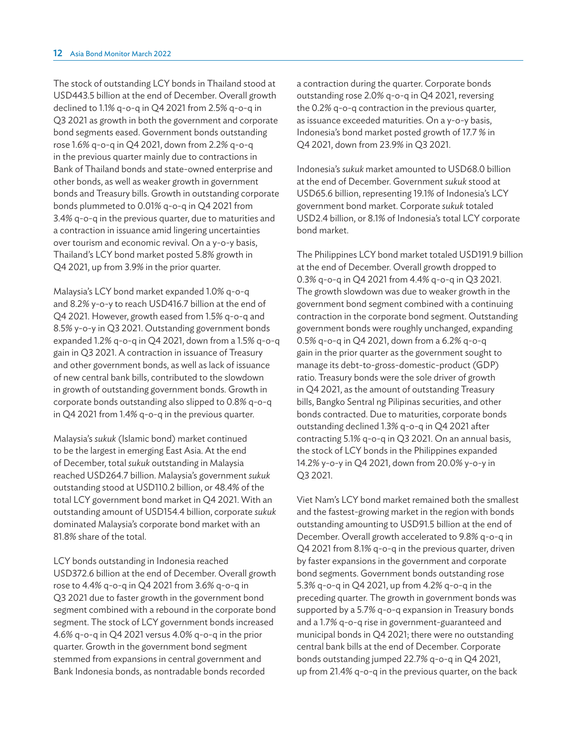The stock of outstanding LCY bonds in Thailand stood at USD443.5 billion at the end of December. Overall growth declined to 1.1% q-o-q in Q4 2021 from 2.5% q-o-q in Q3 2021 as growth in both the government and corporate bond segments eased. Government bonds outstanding rose 1.6% q-o-q in Q4 2021, down from 2.2% q-o-q in the previous quarter mainly due to contractions in Bank of Thailand bonds and state-owned enterprise and other bonds, as well as weaker growth in government bonds and Treasury bills. Growth in outstanding corporate bonds plummeted to 0.01% q-o-q in Q4 2021 from 3.4% q-o-q in the previous quarter, due to maturities and a contraction in issuance amid lingering uncertainties over tourism and economic revival. On a y-o-y basis, Thailand's LCY bond market posted 5.8% growth in Q4 2021, up from 3.9% in the prior quarter.

Malaysia's LCY bond market expanded 1.0% q-o-q and 8.2% y-o-y to reach USD416.7 billion at the end of Q4 2021. However, growth eased from 1.5% q-o-q and 8.5% y-o-y in Q3 2021. Outstanding government bonds expanded 1.2% q-o-q in Q4 2021, down from a 1.5% q-o-q gain in Q3 2021. A contraction in issuance of Treasury and other government bonds, as well as lack of issuance of new central bank bills, contributed to the slowdown in growth of outstanding government bonds. Growth in corporate bonds outstanding also slipped to 0.8% q-o-q in Q4 2021 from 1.4% q-o-q in the previous quarter.

Malaysia's *sukuk* (Islamic bond) market continued to be the largest in emerging East Asia. At the end of December, total *sukuk* outstanding in Malaysia reached USD264.7 billion. Malaysia's government *sukuk* outstanding stood at USD110.2 billion, or 48.4% of the total LCY government bond market in Q4 2021. With an outstanding amount of USD154.4 billion, corporate *sukuk* dominated Malaysia's corporate bond market with an 81.8% share of the total.

LCY bonds outstanding in Indonesia reached USD372.6 billion at the end of December. Overall growth rose to 4.4% q-o-q in Q4 2021 from 3.6% q-o-q in Q3 2021 due to faster growth in the government bond segment combined with a rebound in the corporate bond segment. The stock of LCY government bonds increased 4.6% q-o-q in Q4 2021 versus 4.0% q-o-q in the prior quarter. Growth in the government bond segment stemmed from expansions in central government and Bank Indonesia bonds, as nontradable bonds recorded

a contraction during the quarter. Corporate bonds outstanding rose 2.0% q-o-q in Q4 2021, reversing the 0.2% q-o-q contraction in the previous quarter, as issuance exceeded maturities. On a y-o-y basis, Indonesia's bond market posted growth of 17.7 % in Q4 2021, down from 23.9% in Q3 2021.

Indonesia's *sukuk* market amounted to USD68.0 billion at the end of December. Government *sukuk* stood at USD65.6 billion, representing 19.1% of Indonesia's LCY government bond market. Corporate *sukuk* totaled USD2.4 billion, or 8.1% of Indonesia's total LCY corporate bond market.

The Philippines LCY bond market totaled USD191.9 billion at the end of December. Overall growth dropped to 0.3% q-o-q in Q4 2021 from 4.4% q-o-q in Q3 2021. The growth slowdown was due to weaker growth in the government bond segment combined with a continuing contraction in the corporate bond segment. Outstanding government bonds were roughly unchanged, expanding 0.5% q-o-q in Q4 2021, down from a 6.2% q-o-q gain in the prior quarter as the government sought to manage its debt-to-gross-domestic-product (GDP) ratio. Treasury bonds were the sole driver of growth in Q4 2021, as the amount of outstanding Treasury bills, Bangko Sentral ng Pilipinas securities, and other bonds contracted. Due to maturities, corporate bonds outstanding declined 1.3% q-o-q in Q4 2021 after contracting 5.1% q-o-q in Q3 2021. On an annual basis, the stock of LCY bonds in the Philippines expanded 14.2% y-o-y in Q4 2021, down from 20.0% y-o-y in Q3 2021.

Viet Nam's LCY bond market remained both the smallest and the fastest-growing market in the region with bonds outstanding amounting to USD91.5 billion at the end of December. Overall growth accelerated to 9.8% q-o-q in Q4 2021 from 8.1% q-o-q in the previous quarter, driven by faster expansions in the government and corporate bond segments. Government bonds outstanding rose 5.3% q-o-q in Q4 2021, up from 4.2% q-o-q in the preceding quarter. The growth in government bonds was supported by a 5.7% q-o-q expansion in Treasury bonds and a 1.7% q-o-q rise in government-guaranteed and municipal bonds in Q4 2021; there were no outstanding central bank bills at the end of December. Corporate bonds outstanding jumped 22.7% q-o-q in Q4 2021, up from 21.4% q-o-q in the previous quarter, on the back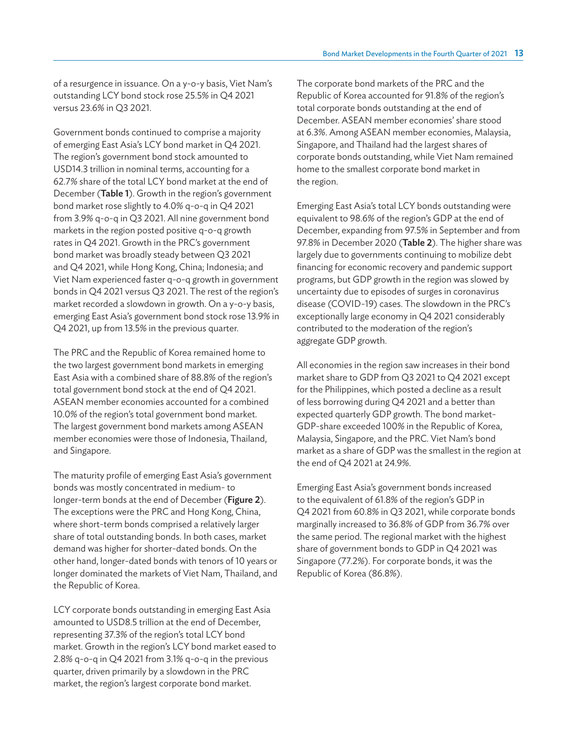of a resurgence in issuance. On a y-o-y basis, Viet Nam's outstanding LCY bond stock rose 25.5% in Q4 2021 versus 23.6% in Q3 2021.

Government bonds continued to comprise a majority of emerging East Asia's LCY bond market in Q4 2021. The region's government bond stock amounted to USD14.3 trillion in nominal terms, accounting for a 62.7% share of the total LCY bond market at the end of December (Table 1). Growth in the region's government bond market rose slightly to 4.0% q-o-q in Q4 2021 from 3.9% q-o-q in Q3 2021. All nine government bond markets in the region posted positive q-o-q growth rates in Q4 2021. Growth in the PRC's government bond market was broadly steady between Q3 2021 and Q4 2021, while Hong Kong, China; Indonesia; and Viet Nam experienced faster q-o-q growth in government bonds in Q4 2021 versus Q3 2021. The rest of the region's market recorded a slowdown in growth. On a y-o-y basis, emerging East Asia's government bond stock rose 13.9% in Q4 2021, up from 13.5% in the previous quarter.

The PRC and the Republic of Korea remained home to the two largest government bond markets in emerging East Asia with a combined share of 88.8% of the region's total government bond stock at the end of Q4 2021. ASEAN member economies accounted for a combined 10.0% of the region's total government bond market. The largest government bond markets among ASEAN member economies were those of Indonesia, Thailand, and Singapore.

The maturity profile of emerging East Asia's government bonds was mostly concentrated in medium- to longer-term bonds at the end of December (Figure 2). The exceptions were the PRC and Hong Kong, China, where short-term bonds comprised a relatively larger share of total outstanding bonds. In both cases, market demand was higher for shorter-dated bonds. On the other hand, longer-dated bonds with tenors of 10 years or longer dominated the markets of Viet Nam, Thailand, and the Republic of Korea.

LCY corporate bonds outstanding in emerging East Asia amounted to USD8.5 trillion at the end of December, representing 37.3% of the region's total LCY bond market. Growth in the region's LCY bond market eased to 2.8% q-o-q in Q4 2021 from 3.1% q-o-q in the previous quarter, driven primarily by a slowdown in the PRC market, the region's largest corporate bond market.

The corporate bond markets of the PRC and the Republic of Korea accounted for 91.8% of the region's total corporate bonds outstanding at the end of December. ASEAN member economies' share stood at 6.3%. Among ASEAN member economies, Malaysia, Singapore, and Thailand had the largest shares of corporate bonds outstanding, while Viet Nam remained home to the smallest corporate bond market in the region.

Emerging East Asia's total LCY bonds outstanding were equivalent to 98.6% of the region's GDP at the end of December, expanding from 97.5% in September and from 97.8% in December 2020 (Table 2). The higher share was largely due to governments continuing to mobilize debt financing for economic recovery and pandemic support programs, but GDP growth in the region was slowed by uncertainty due to episodes of surges in coronavirus disease (COVID-19) cases. The slowdown in the PRC's exceptionally large economy in Q4 2021 considerably contributed to the moderation of the region's aggregate GDP growth.

All economies in the region saw increases in their bond market share to GDP from Q3 2021 to Q4 2021 except for the Philippines, which posted a decline as a result of less borrowing during Q4 2021 and a better than expected quarterly GDP growth. The bond market-GDP-share exceeded 100% in the Republic of Korea, Malaysia, Singapore, and the PRC. Viet Nam's bond market as a share of GDP was the smallest in the region at the end of Q4 2021 at 24.9%.

Emerging East Asia's government bonds increased to the equivalent of 61.8% of the region's GDP in Q4 2021 from 60.8% in Q3 2021, while corporate bonds marginally increased to 36.8% of GDP from 36.7% over the same period. The regional market with the highest share of government bonds to GDP in Q4 2021 was Singapore (77.2%). For corporate bonds, it was the Republic of Korea (86.8%).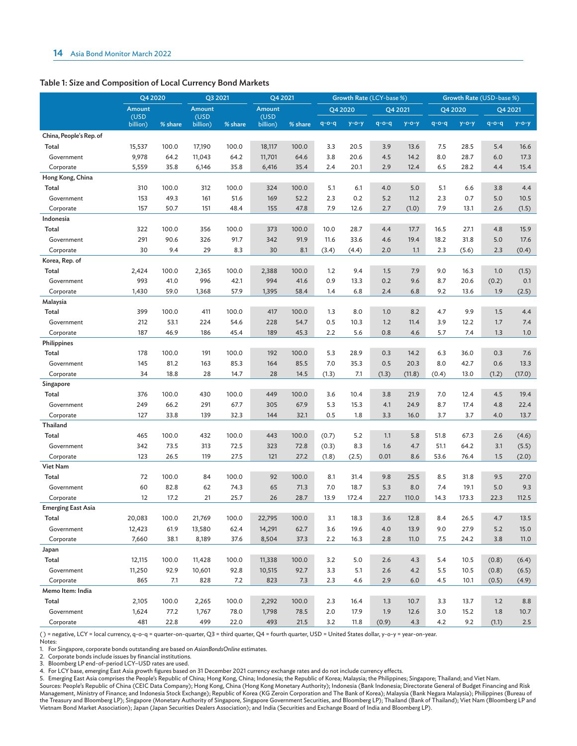#### Table 1: Size and Composition of Local Currency Bond Markets

|                           | Q4 2020          |         | Q3 2021          |         | Q4 2021          |         |             | Growth Rate (LCY-base %) |             |             | Growth Rate (USD-base %) |             |             |             |
|---------------------------|------------------|---------|------------------|---------|------------------|---------|-------------|--------------------------|-------------|-------------|--------------------------|-------------|-------------|-------------|
|                           | <b>Amount</b>    |         | <b>Amount</b>    |         | <b>Amount</b>    |         |             | Q4 2020                  | Q4 2021     |             | Q4 2020<br>Q4 2021       |             |             |             |
|                           | (USD<br>billion) | % share | (USD<br>billion) | % share | (USD<br>billion) | % share | $q - o - q$ | $y - o - y$              | $q - o - q$ | $y - o - y$ | $q - 0 - q$              | $y - o - y$ | $q - o - q$ | $y - o - y$ |
| China, People's Rep. of   |                  |         |                  |         |                  |         |             |                          |             |             |                          |             |             |             |
| <b>Total</b>              | 15,537           | 100.0   | 17,190           | 100.0   | 18,117           | 100.0   | 3.3         | 20.5                     | 3.9         | 13.6        | 7.5                      | 28.5        | 5.4         | 16.6        |
| Government                | 9,978            | 64.2    | 11,043           | 64.2    | 11,701           | 64.6    | 3.8         | 20.6                     | 4.5         | 14.2        | 8.0                      | 28.7        | 6.0         | 17.3        |
| Corporate                 | 5,559            | 35.8    | 6,146            | 35.8    | 6,416            | 35.4    | 2.4         | 20.1                     | 2.9         | 12.4        | 6.5                      | 28.2        | 4.4         | 15.4        |
| Hong Kong, China          |                  |         |                  |         |                  |         |             |                          |             |             |                          |             |             |             |
| Total                     | 310              | 100.0   | 312              | 100.0   | 324              | 100.0   | 5.1         | 6.1                      | 4.0         | 5.0         | 5.1                      | 6.6         | 3.8         | 4.4         |
| Government                | 153              | 49.3    | 161              | 51.6    | 169              | 52.2    | 2.3         | 0.2                      | 5.2         | 11.2        | 2.3                      | 0.7         | 5.0         | 10.5        |
| Corporate                 | 157              | 50.7    | 151              | 48.4    | 155              | 47.8    | 7.9         | 12.6                     | 2.7         | (1.0)       | 7.9                      | 13.1        | 2.6         | (1.5)       |
| Indonesia                 |                  |         |                  |         |                  |         |             |                          |             |             |                          |             |             |             |
| Total                     | 322              | 100.0   | 356              | 100.0   | 373              | 100.0   | 10.0        | 28.7                     | 4.4         | 17.7        | 16.5                     | 27.1        | 4.8         | 15.9        |
| Government                | 291              | 90.6    | 326              | 91.7    | 342              | 91.9    | 11.6        | 33.6                     | 4.6         | 19.4        | 18.2                     | 31.8        | 5.0         | 17.6        |
| Corporate                 | 30               | 9.4     | 29               | 8.3     | 30               | 8.1     | (3.4)       | (4.4)                    | 2.0         | 1.1         | 2.3                      | (5.6)       | 2.3         | (0.4)       |
| Korea, Rep. of            |                  |         |                  |         |                  |         |             |                          |             |             |                          |             |             |             |
| <b>Total</b>              | 2,424            | 100.0   | 2,365            | 100.0   | 2,388            | 100.0   | 1.2         | 9.4                      | 1.5         | 7.9         | 9.0                      | 16.3        | 1.0         | (1.5)       |
| Government                | 993              | 41.0    | 996              | 42.1    | 994              | 41.6    | 0.9         | 13.3                     | 0.2         | 9.6         | 8.7                      | 20.6        | (0.2)       | 0.1         |
| Corporate                 | 1,430            | 59.0    | 1,368            | 57.9    | 1,395            | 58.4    | 1.4         | 6.8                      | 2.4         | 6.8         | 9.2                      | 13.6        | 1.9         | (2.5)       |
| Malaysia                  |                  |         |                  |         |                  |         |             |                          |             |             |                          |             |             |             |
| <b>Total</b>              | 399              | 100.0   | 411              | 100.0   | 417              | 100.0   | 1.3         | 8.0                      | 1.0         | 8.2         | 4.7                      | 9.9         | 1.5         | 4.4         |
| Government                | 212              | 53.1    | 224              | 54.6    | 228              | 54.7    | 0.5         | 10.3                     | 1.2         | 11.4        | 3.9                      | 12.2        | 1.7         | 7.4         |
| Corporate                 | 187              | 46.9    | 186              | 45.4    | 189              | 45.3    | 2.2         | 5.6                      | 0.8         | 4.6         | 5.7                      | 7.4         | 1.3         | 1.0         |
| Philippines               |                  |         |                  |         |                  |         |             |                          |             |             |                          |             |             |             |
| Total                     | 178              | 100.0   | 191              | 100.0   | 192              | 100.0   | 5.3         | 28.9                     | 0.3         | 14.2        | 6.3                      | 36.0        | 0.3         | 7.6         |
| Government                | 145              | 81.2    | 163              | 85.3    | 164              | 85.5    | 7.0         | 35.3                     | 0.5         | 20.3        | 8.0                      | 42.7        | 0.6         | 13.3        |
| Corporate                 | 34               | 18.8    | 28               | 14.7    | 28               | 14.5    | (1.3)       | 7.1                      | (1.3)       | (11.8)      | (0.4)                    | 13.0        | (1.2)       | (17.0)      |
| Singapore                 |                  |         |                  |         |                  |         |             |                          |             |             |                          |             |             |             |
| Total                     | 376              | 100.0   | 430              | 100.0   | 449              | 100.0   | 3.6         | 10.4                     | 3.8         | 21.9        | 7.0                      | 12.4        | 4.5         | 19.4        |
| Government                | 249              | 66.2    | 291              | 67.7    | 305              | 67.9    | 5.3         | 15.3                     | 4.1         | 24.9        | 8.7                      | 17.4        | 4.8         | 22.4        |
| Corporate                 | 127              | 33.8    | 139              | 32.3    | 144              | 32.1    | 0.5         | 1.8                      | 3.3         | 16.0        | 3.7                      | 3.7         | 4.0         | 13.7        |
| <b>Thailand</b>           |                  |         |                  |         |                  |         |             |                          |             |             |                          |             |             |             |
| Total                     | 465              | 100.0   | 432              | 100.0   | 443              | 100.0   | (0.7)       | 5.2                      | 1.1         | 5.8         | 51.8                     | 67.3        | 2.6         | (4.6)       |
| Government                | 342              | 73.5    | 313              | 72.5    | 323              | 72.8    | (0.3)       | 8.3                      | 1.6         | 4.7         | 51.1                     | 64.2        | 3.1         | (5.5)       |
| Corporate                 | 123              | 26.5    | 119              | 27.5    | 121              | 27.2    | (1.8)       | (2.5)                    | 0.01        | 8.6         | 53.6                     | 76.4        | 1.5         | (2.0)       |
| <b>Viet Nam</b>           |                  |         |                  |         |                  |         |             |                          |             |             |                          |             |             |             |
| Total                     | 72               | 100.0   | 84               | 100.0   | 92               | 100.0   | 8.1         | 31.4                     | 9.8         | 25.5        | 8.5                      | 31.8        | 9.5         | 27.0        |
| Government                | 60               | 82.8    | 62               | 74.3    | 65               | 71.3    | 7.0         | 18.7                     | 5.3         | 8.0         | 7.4                      | 19.1        | 5.0         | 9.3         |
| Corporate                 | 12               | 17.2    | 21               | 25.7    | 26               | 28.7    | 13.9        | 172.4                    | 22.7        | 110.0       | 14.3                     | 173.3       | 22.3        | 112.5       |
| <b>Emerging East Asia</b> |                  |         |                  |         |                  |         |             |                          |             |             |                          |             |             |             |
| <b>Total</b>              | 20,083           | 100.0   | 21,769           | 100.0   | 22,795           | 100.0   | 3.1         | 18.3                     | 3.6         | 12.8        | 8.4                      | 26.5        | 4.7         | 13.5        |
| Government                | 12,423           | 61.9    | 13,580           | 62.4    | 14,291           | 62.7    | 3.6         | 19.6                     | 4.0         | 13.9        | 9.0                      | 27.9        | 5.2         | 15.0        |
| Corporate                 | 7,660            | 38.1    | 8,189            | 37.6    | 8,504            | 37.3    | 2.2         | 16.3                     | 2.8         | 11.0        | 7.5                      | 24.2        | 3.8         | 11.0        |
| Japan                     |                  |         |                  |         |                  |         |             |                          |             |             |                          |             |             |             |
| Total                     | 12,115           | 100.0   | 11,428           | 100.0   | 11,338           | 100.0   | 3.2         | 5.0                      | 2.6         | 4.3         | 5.4                      | 10.5        | (0.8)       | (6.4)       |
| Government                | 11,250           | 92.9    | 10,601           | 92.8    | 10,515           | 92.7    | 3.3         | 5.1                      | 2.6         | 4.2         | 5.5                      | 10.5        | (0.8)       | (6.5)       |
| Corporate                 | 865              | 7.1     | 828              | 7.2     | 823              | 7.3     | 2.3         | 4.6                      | 2.9         | 6.0         | 4.5                      | 10.1        | (0.5)       | (4.9)       |
| Memo Item: India          |                  |         |                  |         |                  |         |             |                          |             |             |                          |             |             |             |
| Total                     | 2,105            | 100.0   | 2,265            | 100.0   | 2,292            | 100.0   | 2.3         | 16.4                     | 1.3         | 10.7        | 3.3                      | 13.7        | 1.2         | 8.8         |
| Government                | 1,624            | 77.2    | 1,767            | 78.0    | 1,798            | 78.5    | 2.0         | 17.9                     | 1.9         | 12.6        | 3.0                      | 15.2        | 1.8         | 10.7        |
| Corporate                 | 481              | 22.8    | 499              | 22.0    | 493              | 21.5    | 3.2         | 11.8                     | (0.9)       | 4.3         | 4.2                      | 9.2         | (1.1)       | 2.5         |

( ) = negative, LCY = local currency, q-o-q = quarter-on-quarter, Q3 = third quarter, Q4 = fourth quarter, USD = United States dollar, y-o-y = year-on-year.

Notes:

1. For Singapore, corporate bonds outstanding are based on *AsianBondsOnline* estimates.

2. Corporate bonds include issues by financial institutions.

3. Bloomberg LP end-of-period LCY–USD rates are used.

4. For LCY base, emerging East Asia growth figures based on 31 December 2021 currency exchange rates and do not include currency effects.

5. Emerging East Asia comprises the People's Republic of China; Hong Kong, China; Indonesia; the Republic of Korea; Malaysia; the Philippines; Singapore; Thailand; and Viet Nam. Sources: People's Republic of China (CEIC Data Company); Hong Kong, China (Hong Kong Monetary Authority); Indonesia (Bank Indonesia; Directorate General of Budget Financing and Risk Management, Ministry of Finance; and Indonesia Stock Exchange); Republic of Korea (KG Zeroin Corporation and The Bank of Korea); Malaysia (Bank Negara Malaysia); Philippines (Bureau of the Treasury and Bloomberg LP); Singapore (Monetary Authority of Singapore, Singapore Government Securities, and Bloomberg LP); Thailand (Bank of Thailand); Viet Nam (Bloomberg LP and Vietnam Bond Market Association); Japan (Japan Securities Dealers Association); and India (Securities and Exchange Board of India and Bloomberg LP).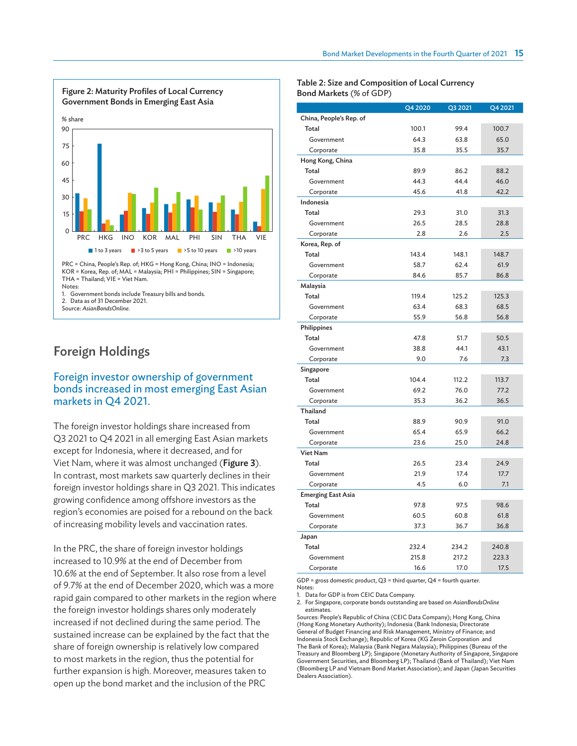

Source: *AsianBondsOnline*.

### Foreign Holdings

### Foreign investor ownership of government bonds increased in most emerging East Asian markets in Q4 2021.

The foreign investor holdings share increased from Q3 2021 to Q4 2021 in all emerging East Asian markets except for Indonesia, where it decreased, and for Viet Nam, where it was almost unchanged (Figure 3). In contrast, most markets saw quarterly declines in their foreign investor holdings share in Q3 2021. This indicates growing confidence among offshore investors as the region's economies are poised for a rebound on the back of increasing mobility levels and vaccination rates.

In the PRC, the share of foreign investor holdings increased to 10.9% at the end of December from 10.6% at the end of September. It also rose from a level of 9.7% at the end of December 2020, which was a more rapid gain compared to other markets in the region where the foreign investor holdings shares only moderately increased if not declined during the same period. The sustained increase can be explained by the fact that the share of foreign ownership is relatively low compared to most markets in the region, thus the potential for further expansion is high. Moreover, measures taken to open up the bond market and the inclusion of the PRC

#### Table 2: Size and Composition of Local Currency Bond Markets (% of GDP)

|                           | Q4 2020 | Q3 2021 | Q4 2021 |
|---------------------------|---------|---------|---------|
| China, People's Rep. of   |         |         |         |
| Total                     | 100.1   | 99.4    | 100.7   |
| Government                | 64.3    | 63.8    | 65.0    |
| Corporate                 | 35.8    | 35.5    | 35.7    |
| Hong Kong, China          |         |         |         |
| Total                     | 89.9    | 86.2    | 88.2    |
| Government                | 44.3    | 44.4    | 46.0    |
| Corporate                 | 45.6    | 41.8    | 42.2    |
| Indonesia                 |         |         |         |
| Total                     | 29.3    | 31.0    | 31.3    |
| Government                | 26.5    | 28.5    | 28.8    |
| Corporate                 | 2.8     | 2.6     | 2.5     |
| Korea, Rep. of            |         |         |         |
| Total                     | 143.4   | 148.1   | 148.7   |
| Government                | 58.7    | 62.4    | 61.9    |
| Corporate                 | 84.6    | 85.7    | 86.8    |
| Malaysia                  |         |         |         |
| <b>Total</b>              | 119.4   | 125.2   | 125.3   |
| Government                | 63.4    | 68.3    | 68.5    |
| Corporate                 | 55.9    | 56.8    | 56.8    |
| Philippines               |         |         |         |
| <b>Total</b>              | 47.8    | 51.7    | 50.5    |
| Government                | 38.8    | 44.1    | 43.1    |
| Corporate                 | 9.0     | 7.6     | 7.3     |
| Singapore                 |         |         |         |
| <b>Total</b>              | 104.4   | 112.2   | 113.7   |
| Government                | 69.2    | 76.0    | 77.2    |
| Corporate                 | 35.3    | 36.2    | 36.5    |
| <b>Thailand</b>           |         |         |         |
| Total                     | 88.9    | 90.9    | 91.0    |
| Government                | 65.4    | 65.9    | 66.2    |
| Corporate                 | 23.6    | 25.0    | 24.8    |
| <b>Viet Nam</b>           |         |         |         |
| <b>Total</b>              | 26.5    | 23.4    | 24.9    |
| Government                | 21.9    | 17.4    | 17.7    |
| Corporate                 | 4.5     | 6.0     | 7.1     |
| <b>Emerging East Asia</b> |         |         |         |
| Total                     | 97.8    | 97.5    | 98.6    |
| Government                | 60.5    | 60.8    | 61.8    |
| Corporate                 | 37.3    | 36.7    | 36.8    |
| Japan                     |         |         |         |
| Total                     | 232.4   | 234.2   | 240.8   |
| Government                | 215.8   | 217.2   | 223.3   |
| Corporate                 | 16.6    | 17.0    | 17.5    |

GDP = gross domestic product, Q3 = third quarter, Q4 = fourth quarter.

Notes:

1. Data for GDP is from CEIC Data Company.

2. For Singapore, corporate bonds outstanding are based on *AsianBondsOnline* estimates.

Sources: People's Republic of China (CEIC Data Company); Hong Kong, China (Hong Kong Monetary Authority); Indonesia (Bank Indonesia; Directorate General of Budget Financing and Risk Management, Ministry of Finance; and Indonesia Stock Exchange); Republic of Korea (KG Zeroin Corporation and The Bank of Korea); Malaysia (Bank Negara Malaysia); Philippines (Bureau of the Treasury and Bloomberg LP); Singapore (Monetary Authority of Singapore, Singapore Government Securities, and Bloomberg LP); Thailand (Bank of Thailand); Viet Nam (Bloomberg LP and Vietnam Bond Market Association); and Japan (Japan Securities Dealers Association).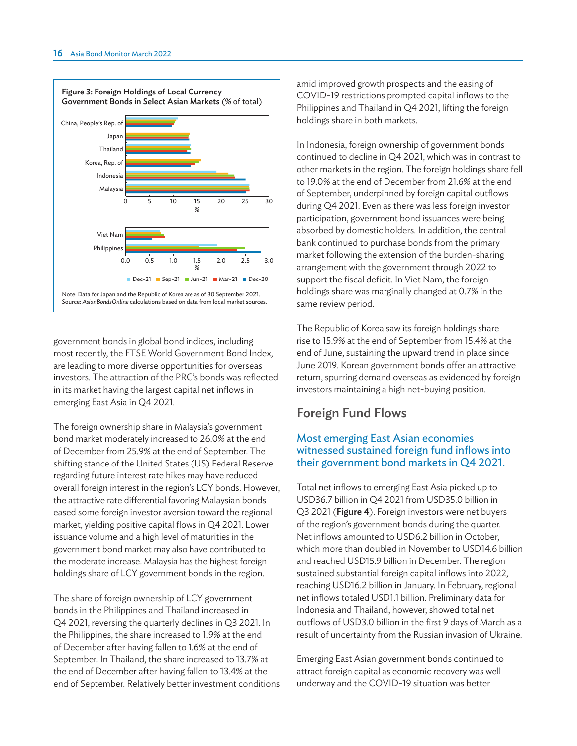

government bonds in global bond indices, including most recently, the FTSE World Government Bond Index, are leading to more diverse opportunities for overseas investors. The attraction of the PRC's bonds was reflected in its market having the largest capital net inflows in emerging East Asia in Q4 2021.

The foreign ownership share in Malaysia's government bond market moderately increased to 26.0% at the end of December from 25.9% at the end of September. The shifting stance of the United States (US) Federal Reserve regarding future interest rate hikes may have reduced overall foreign interest in the region's LCY bonds. However, the attractive rate differential favoring Malaysian bonds eased some foreign investor aversion toward the regional market, yielding positive capital flows in Q4 2021. Lower issuance volume and a high level of maturities in the government bond market may also have contributed to the moderate increase. Malaysia has the highest foreign holdings share of LCY government bonds in the region.

The share of foreign ownership of LCY government bonds in the Philippines and Thailand increased in Q4 2021, reversing the quarterly declines in Q3 2021. In the Philippines, the share increased to 1.9% at the end of December after having fallen to 1.6% at the end of September. In Thailand, the share increased to 13.7% at the end of December after having fallen to 13.4% at the end of September. Relatively better investment conditions amid improved growth prospects and the easing of COVID-19 restrictions prompted capital inflows to the Philippines and Thailand in Q4 2021, lifting the foreign holdings share in both markets.

In Indonesia, foreign ownership of government bonds continued to decline in Q4 2021, which was in contrast to other markets in the region. The foreign holdings share fell to 19.0% at the end of December from 21.6% at the end of September, underpinned by foreign capital outflows during Q4 2021. Even as there was less foreign investor participation, government bond issuances were being absorbed by domestic holders. In addition, the central bank continued to purchase bonds from the primary market following the extension of the burden-sharing arrangement with the government through 2022 to support the fiscal deficit. In Viet Nam, the foreign holdings share was marginally changed at 0.7% in the same review period.

The Republic of Korea saw its foreign holdings share rise to 15.9% at the end of September from 15.4% at the end of June, sustaining the upward trend in place since June 2019. Korean government bonds offer an attractive return, spurring demand overseas as evidenced by foreign investors maintaining a high net-buying position.

### Foreign Fund Flows

### Most emerging East Asian economies witnessed sustained foreign fund inflows into their government bond markets in Q4 2021.

Total net inflows to emerging East Asia picked up to USD36.7 billion in Q4 2021 from USD35.0 billion in Q3 2021 (Figure 4). Foreign investors were net buyers of the region's government bonds during the quarter. Net inflows amounted to USD6.2 billion in October, which more than doubled in November to USD14.6 billion and reached USD15.9 billion in December. The region sustained substantial foreign capital inflows into 2022, reaching USD16.2 billion in January. In February, regional net inflows totaled USD1.1 billion. Preliminary data for Indonesia and Thailand, however, showed total net outflows of USD3.0 billion in the first 9 days of March as a result of uncertainty from the Russian invasion of Ukraine.

Emerging East Asian government bonds continued to attract foreign capital as economic recovery was well underway and the COVID-19 situation was better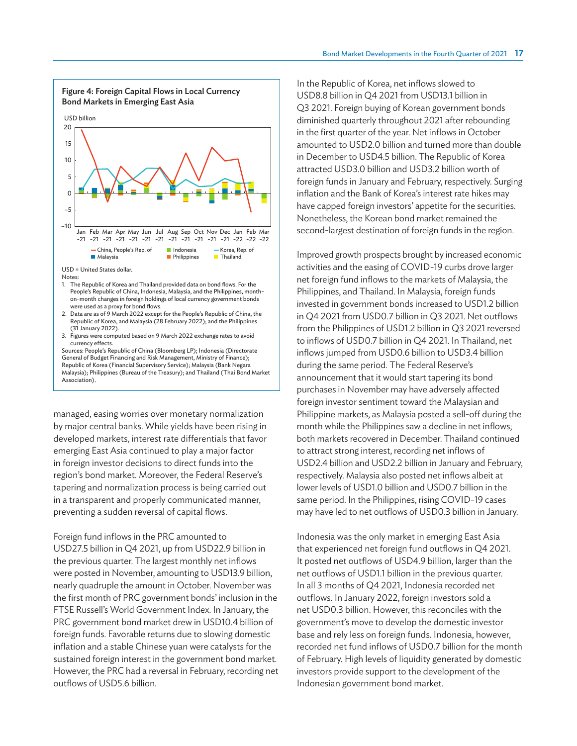

3. Figures were computed based on 9 March 2022 exchange rates to avoid currency effects. Sources: People's Republic of China (Bloomberg LP); Indonesia (Directorate

General of Budget Financing and Risk Management, Ministry of Finance); Republic of Korea (Financial Supervisory Service); Malaysia (Bank Negara Malaysia); Philippines (Bureau of the Treasury); and Thailand (Thai Bond Market Association).

managed, easing worries over monetary normalization by major central banks. While yields have been rising in developed markets, interest rate differentials that favor emerging East Asia continued to play a major factor in foreign investor decisions to direct funds into the region's bond market. Moreover, the Federal Reserve's tapering and normalization process is being carried out in a transparent and properly communicated manner, preventing a sudden reversal of capital flows.

Foreign fund inflows in the PRC amounted to USD27.5 billion in Q4 2021, up from USD22.9 billion in the previous quarter. The largest monthly net inflows were posted in November, amounting to USD13.9 billion, nearly quadruple the amount in October. November was the first month of PRC government bonds' inclusion in the FTSE Russell's World Government Index. In January, the PRC government bond market drew in USD10.4 billion of foreign funds. Favorable returns due to slowing domestic inflation and a stable Chinese yuan were catalysts for the sustained foreign interest in the government bond market. However, the PRC had a reversal in February, recording net outflows of USD5.6 billion.

In the Republic of Korea, net inflows slowed to USD8.8 billion in Q4 2021 from USD13.1 billion in Q3 2021. Foreign buying of Korean government bonds diminished quarterly throughout 2021 after rebounding in the first quarter of the year. Net inflows in October amounted to USD2.0 billion and turned more than double in December to USD4.5 billion. The Republic of Korea attracted USD3.0 billion and USD3.2 billion worth of foreign funds in January and February, respectively. Surging inflation and the Bank of Korea's interest rate hikes may have capped foreign investors' appetite for the securities. Nonetheless, the Korean bond market remained the second-largest destination of foreign funds in the region.

Improved growth prospects brought by increased economic activities and the easing of COVID-19 curbs drove larger net foreign fund inflows to the markets of Malaysia, the Philippines, and Thailand. In Malaysia, foreign funds invested in government bonds increased to USD1.2 billion in Q4 2021 from USD0.7 billion in Q3 2021. Net outflows from the Philippines of USD1.2 billion in Q3 2021 reversed to inflows of USD0.7 billion in Q4 2021. In Thailand, net inflows jumped from USD0.6 billion to USD3.4 billion during the same period. The Federal Reserve's announcement that it would start tapering its bond purchases in November may have adversely affected foreign investor sentiment toward the Malaysian and Philippine markets, as Malaysia posted a sell-off during the month while the Philippines saw a decline in net inflows; both markets recovered in December. Thailand continued to attract strong interest, recording net inflows of USD2.4 billion and USD2.2 billion in January and February, respectively. Malaysia also posted net inflows albeit at lower levels of USD1.0 billion and USD0.7 billion in the same period. In the Philippines, rising COVID-19 cases may have led to net outflows of USD0.3 billion in January.

Indonesia was the only market in emerging East Asia that experienced net foreign fund outflows in Q4 2021. It posted net outflows of USD4.9 billion, larger than the net outflows of USD1.1 billion in the previous quarter. In all 3 months of Q4 2021, Indonesia recorded net outflows. In January 2022, foreign investors sold a net USD0.3 billion. However, this reconciles with the government's move to develop the domestic investor base and rely less on foreign funds. Indonesia, however, recorded net fund inflows of USD0.7 billion for the month of February. High levels of liquidity generated by domestic investors provide support to the development of the Indonesian government bond market.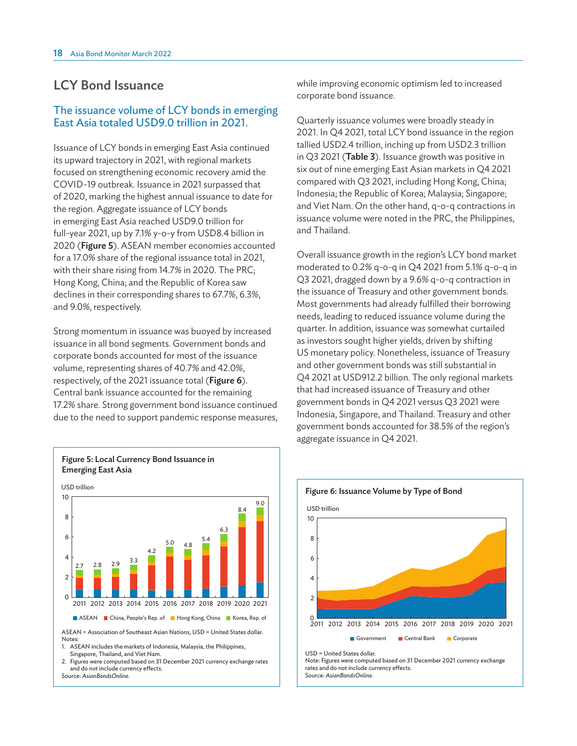### LCY Bond Issuance

### The issuance volume of LCY bonds in emerging East Asia totaled USD9.0 trillion in 2021.

Issuance of LCY bonds in emerging East Asia continued its upward trajectory in 2021, with regional markets focused on strengthening economic recovery amid the COVID-19 outbreak. Issuance in 2021 surpassed that of 2020, marking the highest annual issuance to date for the region. Aggregate issuance of LCY bonds in emerging East Asia reached USD9.0 trillion for full-year 2021, up by 7.1% y-o-y from USD8.4 billion in 2020 (Figure 5). ASEAN member economies accounted for a 17.0% share of the regional issuance total in 2021, with their share rising from 14.7% in 2020. The PRC; Hong Kong, China; and the Republic of Korea saw declines in their corresponding shares to 67.7%, 6.3%, and 9.0%, respectively.

Strong momentum in issuance was buoyed by increased issuance in all bond segments. Government bonds and corporate bonds accounted for most of the issuance volume, representing shares of 40.7% and 42.0%, respectively, of the 2021 issuance total (Figure 6). Central bank issuance accounted for the remaining 17.2% share. Strong government bond issuance continued due to the need to support pandemic response measures,



Singapore, Thailand, and Viet Nam. 2. Figures were computed based on 31 December 2021 currency exchange rates

and do not include currency effects. Source: *AsianBondsOnline*.

while improving economic optimism led to increased corporate bond issuance.

Quarterly issuance volumes were broadly steady in 2021. In Q4 2021, total LCY bond issuance in the region tallied USD2.4 trillion, inching up from USD2.3 trillion in  $Q3 2021$  (Table 3). Issuance growth was positive in six out of nine emerging East Asian markets in Q4 2021 compared with Q3 2021, including Hong Kong, China; Indonesia; the Republic of Korea; Malaysia; Singapore; and Viet Nam. On the other hand, q-o-q contractions in issuance volume were noted in the PRC, the Philippines, and Thailand.

Overall issuance growth in the region's LCY bond market moderated to 0.2% q-o-q in Q4 2021 from 5.1% q-o-q in Q3 2021, dragged down by a 9.6% q-o-q contraction in the issuance of Treasury and other government bonds. Most governments had already fulfilled their borrowing needs, leading to reduced issuance volume during the quarter. In addition, issuance was somewhat curtailed as investors sought higher yields, driven by shifting US monetary policy. Nonetheless, issuance of Treasury and other government bonds was still substantial in Q4 2021 at USD912.2 billion. The only regional markets that had increased issuance of Treasury and other government bonds in Q4 2021 versus Q3 2021 were Indonesia, Singapore, and Thailand. Treasury and other government bonds accounted for 38.5% of the region's aggregate issuance in Q4 2021.

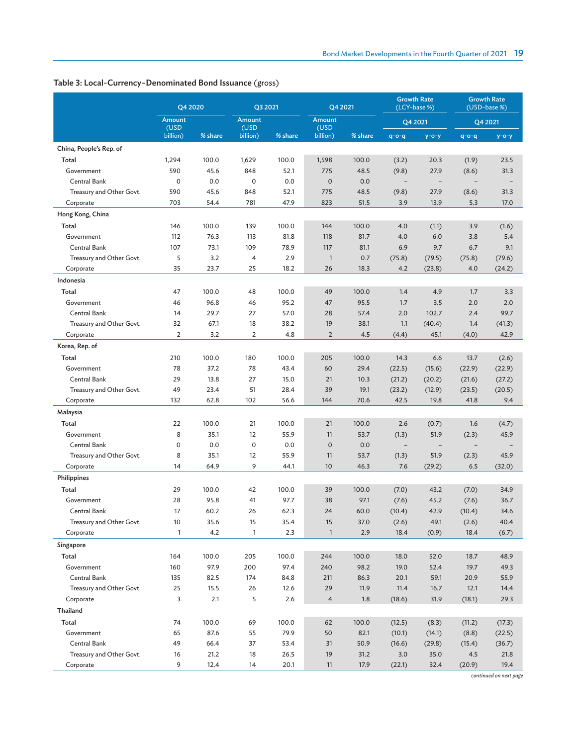### Table 3: Local-Currency–Denominated Bond Issuance (gross)

|                          | Q4 2020               |         | O3 2021               |         | Q4 2021         |         |                          | <b>Growth Rate</b><br>(LCY-base %) |                          | <b>Growth Rate</b><br>(USD-base %) |
|--------------------------|-----------------------|---------|-----------------------|---------|-----------------|---------|--------------------------|------------------------------------|--------------------------|------------------------------------|
|                          | <b>Amount</b><br>(USD |         | <b>Amount</b><br>(USD |         | Amount<br>(USD) |         |                          | Q4 2021                            |                          | Q4 2021                            |
|                          | billion)              | % share | billion)              | % share | billion)        | % share | $q - o - q$              | $y - o - y$                        | $q - o - q$              | $y - o - y$                        |
| China, People's Rep. of  |                       |         |                       |         |                 |         |                          |                                    |                          |                                    |
| Total                    | 1,294                 | 100.0   | 1,629                 | 100.0   | 1,598           | 100.0   | (3.2)                    | 20.3                               | (1.9)                    | 23.5                               |
| Government               | 590                   | 45.6    | 848                   | 52.1    | 775             | 48.5    | (9.8)                    | 27.9                               | (8.6)                    | 31.3                               |
| Central Bank             | $\mathsf{O}\xspace$   | 0.0     | 0                     | 0.0     | $\mathbf 0$     | 0.0     | $\overline{\phantom{0}}$ | $\overline{\phantom{m}}$           | $\qquad \qquad -$        |                                    |
| Treasury and Other Govt. | 590                   | 45.6    | 848                   | 52.1    | 775             | 48.5    | (9.8)                    | 27.9                               | (8.6)                    | 31.3                               |
| Corporate                | 703                   | 54.4    | 781                   | 47.9    | 823             | 51.5    | 3.9                      | 13.9                               | 5.3                      | 17.0                               |
| Hong Kong, China         |                       |         |                       |         |                 |         |                          |                                    |                          |                                    |
| Total                    | 146                   | 100.0   | 139                   | 100.0   | 144             | 100.0   | 4.0                      | (1.1)                              | 3.9                      | (1.6)                              |
| Government               | 112                   | 76.3    | 113                   | 81.8    | 118             | 81.7    | 4.0                      | 6.0                                | 3.8                      | 5.4                                |
| Central Bank             | 107                   | 73.1    | 109                   | 78.9    | 117             | 81.1    | 6.9                      | 9.7                                | 6.7                      | 9.1                                |
| Treasury and Other Govt. | 5                     | 3.2     | 4                     | 2.9     | $\mathbf{1}$    | 0.7     | (75.8)                   | (79.5)                             | (75.8)                   | (79.6)                             |
| Corporate                | 35                    | 23.7    | 25                    | 18.2    | 26              | 18.3    | 4.2                      | (23.8)                             | 4.0                      | (24.2)                             |
| Indonesia                |                       |         |                       |         |                 |         |                          |                                    |                          |                                    |
| Total                    | 47                    | 100.0   | 48                    | 100.0   | 49              | 100.0   | 1.4                      | 4.9                                | 1.7                      | 3.3                                |
| Government               | 46                    | 96.8    | 46                    | 95.2    | 47              | 95.5    | 1.7                      | 3.5                                | 2.0                      | 2.0                                |
| <b>Central Bank</b>      | 14                    | 29.7    | 27                    | 57.0    | 28              | 57.4    | 2.0                      | 102.7                              | 2.4                      | 99.7                               |
| Treasury and Other Govt. | 32                    | 67.1    | 18                    | 38.2    | 19              | 38.1    | 1.1                      | (40.4)                             | 1.4                      | (41.3)                             |
| Corporate                | 2                     | 3.2     | $\overline{2}$        | 4.8     | $\overline{2}$  | 4.5     | (4.4)                    | 45.1                               | (4.0)                    | 42.9                               |
| Korea, Rep. of           |                       |         |                       |         |                 |         |                          |                                    |                          |                                    |
| Total                    | 210                   | 100.0   | 180                   | 100.0   | 205             | 100.0   | 14.3                     | 6.6                                | 13.7                     | (2.6)                              |
| Government               | 78                    | 37.2    | 78                    | 43.4    | 60              | 29.4    | (22.5)                   | (15.6)                             | (22.9)                   | (22.9)                             |
| Central Bank             | 29                    | 13.8    | 27                    | 15.0    | 21              | 10.3    | (21.2)                   | (20.2)                             | (21.6)                   | (27.2)                             |
| Treasury and Other Govt. | 49                    | 23.4    | 51                    | 28.4    | 39              | 19.1    | (23.2)                   | (12.9)                             | (23.5)                   | (20.5)                             |
| Corporate                | 132                   | 62.8    | 102                   | 56.6    | 144             | 70.6    | 42.5                     | 19.8                               | 41.8                     | 9.4                                |
| Malaysia                 |                       |         |                       |         |                 |         |                          |                                    |                          |                                    |
| Total                    | 22                    | 100.0   | 21                    | 100.0   | 21              | 100.0   | 2.6                      | (0.7)                              | 1.6                      | (4.7)                              |
| Government               | 8                     | 35.1    | 12                    | 55.9    | 11              | 53.7    | (1.3)                    | 51.9                               | (2.3)                    | 45.9                               |
| Central Bank             | 0                     | 0.0     | 0                     | 0.0     | $\mathbf 0$     | 0.0     | $\overline{\phantom{a}}$ | $\overline{\phantom{a}}$           | $\overline{\phantom{a}}$ |                                    |
| Treasury and Other Govt. | 8                     | 35.1    | 12                    | 55.9    | 11              | 53.7    | (1.3)                    | 51.9                               | (2.3)                    | 45.9                               |
| Corporate                | 14                    | 64.9    | 9                     | 44.1    | 10              | 46.3    | 7.6                      | (29.2)                             | 6.5                      | (32.0)                             |
| Philippines              |                       |         |                       |         |                 |         |                          |                                    |                          |                                    |
| Total                    | 29                    | 100.0   | 42                    | 100.0   | 39              | 100.0   | (7.0)                    | 43.2                               | (7.0)                    | 34.9                               |
| Government               | 28                    | 95.8    | 41                    | 97.7    | 38              | 97.1    | (7.6)                    | 45.2                               | (7.6)                    | 36.7                               |
| Central Bank             | 17                    | 60.2    | 26                    | 62.3    | 24              | 60.0    | (10.4)                   | 42.9                               | (10.4)                   | 34.6                               |
| Treasury and Other Govt. | 10                    | 35.6    | 15                    | 35.4    | 15              | 37.0    | (2.6)                    | 49.1                               | (2.6)                    | 40.4                               |
| Corporate                | 1                     | 4.2     | 1                     | 2.3     | $\mathbf{1}$    | 2.9     | 18.4                     | (0.9)                              | 18.4                     | (6.7)                              |
| Singapore                |                       |         |                       |         |                 |         |                          |                                    |                          |                                    |
| Total                    | 164                   | 100.0   | 205                   | 100.0   | 244             | 100.0   | 18.0                     | 52.0                               | 18.7                     | 48.9                               |
| Government               | 160                   | 97.9    | 200                   | 97.4    | 240             | 98.2    | 19.0                     | 52.4                               | 19.7                     | 49.3                               |
| Central Bank             | 135                   | 82.5    | 174                   | 84.8    | 211             | 86.3    | 20.1                     | 59.1                               | 20.9                     | 55.9                               |
| Treasury and Other Govt. | 25                    | 15.5    | 26                    | 12.6    | 29              | 11.9    | 11.4                     | 16.7                               | 12.1                     | 14.4                               |
| Corporate                | 3                     | 2.1     | 5                     | 2.6     | $\overline{4}$  | 1.8     | (18.6)                   | 31.9                               | (18.1)                   | 29.3                               |
| Thailand                 |                       |         |                       |         |                 |         |                          |                                    |                          |                                    |
| Total                    | 74                    | 100.0   | 69                    | 100.0   | 62              | 100.0   | (12.5)                   | (8.3)                              | (11.2)                   | (17.3)                             |
| Government               | 65                    | 87.6    | 55                    | 79.9    | 50              | 82.1    | (10.1)                   | (14.1)                             | (8.8)                    | (22.5)                             |
| Central Bank             | 49                    | 66.4    | 37                    | 53.4    | 31              | 50.9    | (16.6)                   | (29.8)                             | (15.4)                   | (36.7)                             |
| Treasury and Other Govt. | 16                    | 21.2    | 18                    | 26.5    | 19              | 31.2    | 3.0                      | 35.0                               | 4.5                      | 21.8                               |
| Corporate                | 9                     | 12.4    | 14                    | 20.1    | 11              | 17.9    | (22.1)                   | 32.4                               | (20.9)                   | 19.4                               |

*continued on next page*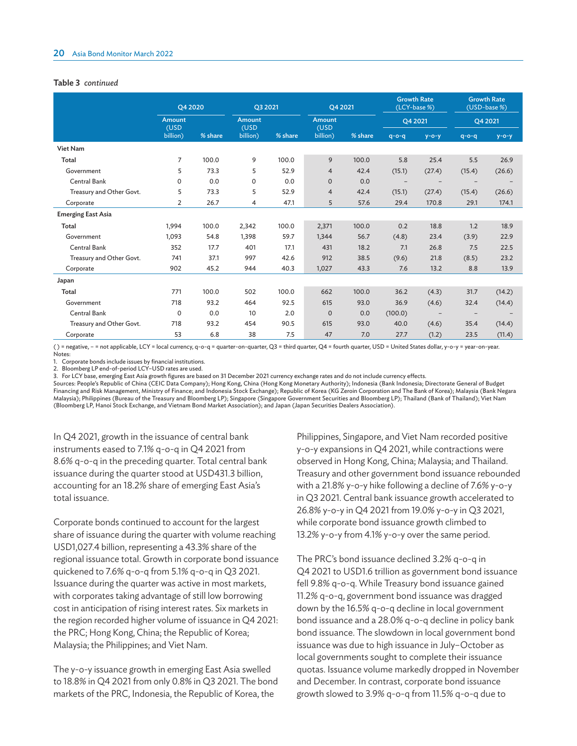#### Table 3 *continued*

|                           | Q4 2020               |         | Q3 2021               |         | Q4 2021               |         | <b>Growth Rate</b><br>(LCY-base %) |                   | <b>Growth Rate</b><br>(USD-base %) |             |  |
|---------------------------|-----------------------|---------|-----------------------|---------|-----------------------|---------|------------------------------------|-------------------|------------------------------------|-------------|--|
|                           | <b>Amount</b><br>(USD |         | <b>Amount</b><br>(USD |         | <b>Amount</b><br>(USD |         | Q4 2021                            |                   | Q4 2021                            |             |  |
|                           | billion)              | % share | billion)              | % share | billion)              | % share | $q - 0 - q$                        | $y - o - y$       | $q - o - q$                        | $y - o - y$ |  |
| <b>Viet Nam</b>           |                       |         |                       |         |                       |         |                                    |                   |                                    |             |  |
| <b>Total</b>              | 7                     | 100.0   | 9                     | 100.0   | 9                     | 100.0   | 5.8                                | 25.4              | 5.5                                | 26.9        |  |
| Government                | 5                     | 73.3    | 5                     | 52.9    | $\overline{4}$        | 42.4    | (15.1)                             | (27.4)            | (15.4)                             | (26.6)      |  |
| <b>Central Bank</b>       | 0                     | 0.0     | 0                     | 0.0     | $\mathbf{0}$          | 0.0     | $\overline{\phantom{a}}$           | $\qquad \qquad -$ | $\qquad \qquad -$                  |             |  |
| Treasury and Other Govt.  | 5                     | 73.3    | 5                     | 52.9    | $\overline{4}$        | 42.4    | (15.1)                             | (27.4)            | (15.4)                             | (26.6)      |  |
| Corporate                 | 2                     | 26.7    | 4                     | 47.1    | 5                     | 57.6    | 29.4                               | 170.8             | 29.1                               | 174.1       |  |
| <b>Emerging East Asia</b> |                       |         |                       |         |                       |         |                                    |                   |                                    |             |  |
| Total                     | 1,994                 | 100.0   | 2,342                 | 100.0   | 2,371                 | 100.0   | 0.2                                | 18.8              | 1.2                                | 18.9        |  |
| Government                | 1,093                 | 54.8    | 1,398                 | 59.7    | 1,344                 | 56.7    | (4.8)                              | 23.4              | (3.9)                              | 22.9        |  |
| <b>Central Bank</b>       | 352                   | 17.7    | 401                   | 17.1    | 431                   | 18.2    | 7.1                                | 26.8              | 7.5                                | 22.5        |  |
| Treasury and Other Govt.  | 741                   | 37.1    | 997                   | 42.6    | 912                   | 38.5    | (9.6)                              | 21.8              | (8.5)                              | 23.2        |  |
| Corporate                 | 902                   | 45.2    | 944                   | 40.3    | 1,027                 | 43.3    | 7.6                                | 13.2              | 8.8                                | 13.9        |  |
| Japan                     |                       |         |                       |         |                       |         |                                    |                   |                                    |             |  |
| <b>Total</b>              | 771                   | 100.0   | 502                   | 100.0   | 662                   | 100.0   | 36.2                               | (4.3)             | 31.7                               | (14.2)      |  |
| Government                | 718                   | 93.2    | 464                   | 92.5    | 615                   | 93.0    | 36.9                               | (4.6)             | 32.4                               | (14.4)      |  |
| <b>Central Bank</b>       | $\mathbf 0$           | 0.0     | 10                    | 2.0     | $\mathbf{O}$          | 0.0     | (100.0)                            |                   | $\overline{\phantom{a}}$           |             |  |
| Treasury and Other Govt.  | 718                   | 93.2    | 454                   | 90.5    | 615                   | 93.0    | 40.0                               | (4.6)             | 35.4                               | (14.4)      |  |
| Corporate                 | 53                    | 6.8     | 38                    | 7.5     | 47                    | 7.0     | 27.7                               | (1.2)             | 23.5                               | (11.4)      |  |

( ) = negative, – = not applicable, LCY = local currency, q-o-q = quarter-on-quarter, Q3 = third quarter, Q4 = fourth quarter, USD = United States dollar, y-o-y = year-on-year. Notes:

1. Corporate bonds include issues by financial institutions.

2. Bloomberg LP end-of-period LCY–USD rates are used.

3. For LCY base, emerging East Asia growth figures are based on 31 December 2021 currency exchange rates and do not include currency effects.

Sources: People's Republic of China (CEIC Data Company); Hong Kong, China (Hong Kong Monetary Authority); Indonesia (Bank Indonesia; Directorate General of Budget Financing and Risk Management, Ministry of Finance; and Indonesia Stock Exchange); Republic of Korea (KG Zeroin Corporation and The Bank of Korea); Malaysia (Bank Negara Malaysia); Philippines (Bureau of the Treasury and Bloomberg LP); Singapore (Singapore Government Securities and Bloomberg LP); Thailand (Bank of Thailand); Viet Nam (Bloomberg LP, Hanoi Stock Exchange, and Vietnam Bond Market Association); and Japan (Japan Securities Dealers Association).

In Q4 2021, growth in the issuance of central bank instruments eased to 7.1% q-o-q in Q4 2021 from 8.6% q-o-q in the preceding quarter. Total central bank issuance during the quarter stood at USD431.3 billion, accounting for an 18.2% share of emerging East Asia's total issuance.

Corporate bonds continued to account for the largest share of issuance during the quarter with volume reaching USD1,027.4 billion, representing a 43.3% share of the regional issuance total. Growth in corporate bond issuance quickened to 7.6% q-o-q from 5.1% q-o-q in Q3 2021. Issuance during the quarter was active in most markets, with corporates taking advantage of still low borrowing cost in anticipation of rising interest rates. Six markets in the region recorded higher volume of issuance in Q4 2021: the PRC; Hong Kong, China; the Republic of Korea; Malaysia; the Philippines; and Viet Nam.

The y-o-y issuance growth in emerging East Asia swelled to 18.8% in Q4 2021 from only 0.8% in Q3 2021. The bond markets of the PRC, Indonesia, the Republic of Korea, the

Philippines, Singapore, and Viet Nam recorded positive y-o-y expansions in Q4 2021, while contractions were observed in Hong Kong, China; Malaysia; and Thailand. Treasury and other government bond issuance rebounded with a 21.8% y-o-y hike following a decline of 7.6% y-o-y in Q3 2021. Central bank issuance growth accelerated to 26.8% y-o-y in Q4 2021 from 19.0% y-o-y in Q3 2021, while corporate bond issuance growth climbed to 13.2% y-o-y from 4.1% y-o-y over the same period.

The PRC's bond issuance declined 3.2% q-o-q in Q4 2021 to USD1.6 trillion as government bond issuance fell 9.8% q-o-q. While Treasury bond issuance gained 11.2% q-o-q, government bond issuance was dragged down by the 16.5% q-o-q decline in local government bond issuance and a 28.0% q-o-q decline in policy bank bond issuance. The slowdown in local government bond issuance was due to high issuance in July–October as local governments sought to complete their issuance quotas. Issuance volume markedly dropped in November and December. In contrast, corporate bond issuance growth slowed to 3.9% q-o-q from 11.5% q-o-q due to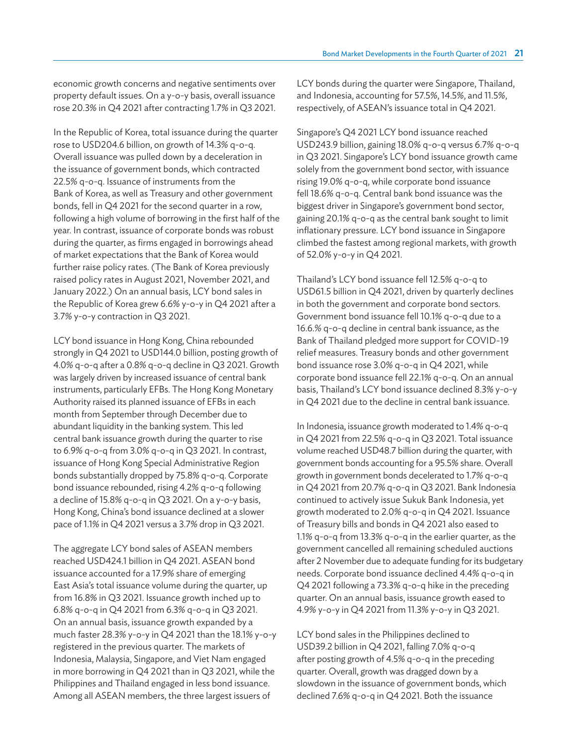economic growth concerns and negative sentiments over property default issues. On a y-o-y basis, overall issuance rose 20.3% in Q4 2021 after contracting 1.7% in Q3 2021.

In the Republic of Korea, total issuance during the quarter rose to USD204.6 billion, on growth of 14.3% q-o-q. Overall issuance was pulled down by a deceleration in the issuance of government bonds, which contracted 22.5% q-o-q. Issuance of instruments from the Bank of Korea, as well as Treasury and other government bonds, fell in Q4 2021 for the second quarter in a row, following a high volume of borrowing in the first half of the year. In contrast, issuance of corporate bonds was robust during the quarter, as firms engaged in borrowings ahead of market expectations that the Bank of Korea would further raise policy rates. (The Bank of Korea previously raised policy rates in August 2021, November 2021, and January 2022.) On an annual basis, LCY bond sales in the Republic of Korea grew 6.6% y-o-y in Q4 2021 after a 3.7% y-o-y contraction in Q3 2021.

LCY bond issuance in Hong Kong, China rebounded strongly in Q4 2021 to USD144.0 billion, posting growth of 4.0% q-o-q after a 0.8% q-o-q decline in Q3 2021. Growth was largely driven by increased issuance of central bank instruments, particularly EFBs. The Hong Kong Monetary Authority raised its planned issuance of EFBs in each month from September through December due to abundant liquidity in the banking system. This led central bank issuance growth during the quarter to rise to 6.9% q-o-q from 3.0% q-o-q in Q3 2021. In contrast, issuance of Hong Kong Special Administrative Region bonds substantially dropped by 75.8% q-o-q. Corporate bond issuance rebounded, rising 4.2% q-o-q following a decline of 15.8% q-o-q in Q3 2021. On a y-o-y basis, Hong Kong, China's bond issuance declined at a slower pace of 1.1% in Q4 2021 versus a 3.7% drop in Q3 2021.

The aggregate LCY bond sales of ASEAN members reached USD424.1 billion in Q4 2021. ASEAN bond issuance accounted for a 17.9% share of emerging East Asia's total issuance volume during the quarter, up from 16.8% in Q3 2021. Issuance growth inched up to 6.8% q-o-q in Q4 2021 from 6.3% q-o-q in Q3 2021. On an annual basis, issuance growth expanded by a much faster 28.3% y-o-y in Q4 2021 than the 18.1% y-o-y registered in the previous quarter. The markets of Indonesia, Malaysia, Singapore, and Viet Nam engaged in more borrowing in Q4 2021 than in Q3 2021, while the Philippines and Thailand engaged in less bond issuance. Among all ASEAN members, the three largest issuers of

LCY bonds during the quarter were Singapore, Thailand, and Indonesia, accounting for 57.5%, 14.5%, and 11.5%, respectively, of ASEAN's issuance total in Q4 2021.

Singapore's Q4 2021 LCY bond issuance reached USD243.9 billion, gaining 18.0% q-o-q versus 6.7% q-o-q in Q3 2021. Singapore's LCY bond issuance growth came solely from the government bond sector, with issuance rising 19.0% q-o-q, while corporate bond issuance fell 18.6% q-o-q. Central bank bond issuance was the biggest driver in Singapore's government bond sector, gaining 20.1% q-o-q as the central bank sought to limit inflationary pressure. LCY bond issuance in Singapore climbed the fastest among regional markets, with growth of 52.0% y-o-y in Q4 2021.

Thailand's LCY bond issuance fell 12.5% q-o-q to USD61.5 billion in Q4 2021, driven by quarterly declines in both the government and corporate bond sectors. Government bond issuance fell 10.1% q-o-q due to a 16.6.% q-o-q decline in central bank issuance, as the Bank of Thailand pledged more support for COVID-19 relief measures. Treasury bonds and other government bond issuance rose 3.0% q-o-q in Q4 2021, while corporate bond issuance fell 22.1% q-o-q. On an annual basis, Thailand's LCY bond issuance declined 8.3% y-o-y in Q4 2021 due to the decline in central bank issuance.

In Indonesia, issuance growth moderated to 1.4% q-o-q in Q4 2021 from 22.5% q-o-q in Q3 2021. Total issuance volume reached USD48.7 billion during the quarter, with government bonds accounting for a 95.5% share. Overall growth in government bonds decelerated to 1.7% q-o-q in Q4 2021 from 20.7% q-o-q in Q3 2021. Bank Indonesia continued to actively issue Sukuk Bank Indonesia, yet growth moderated to 2.0% q-o-q in Q4 2021. Issuance of Treasury bills and bonds in Q4 2021 also eased to 1.1% q-o-q from 13.3% q-o-q in the earlier quarter, as the government cancelled all remaining scheduled auctions after 2 November due to adequate funding for its budgetary needs. Corporate bond issuance declined 4.4% q-o-q in Q4 2021 following a 73.3% q-o-q hike in the preceding quarter. On an annual basis, issuance growth eased to 4.9% y-o-y in Q4 2021 from 11.3% y-o-y in Q3 2021.

LCY bond sales in the Philippines declined to USD39.2 billion in Q4 2021, falling 7.0% q-o-q after posting growth of 4.5% q-o-q in the preceding quarter. Overall, growth was dragged down by a slowdown in the issuance of government bonds, which declined 7.6% q-o-q in Q4 2021. Both the issuance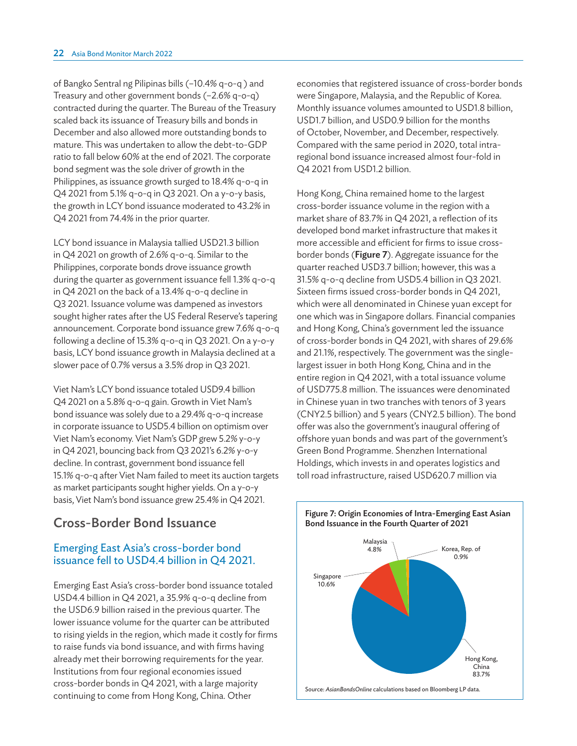of Bangko Sentral ng Pilipinas bills (–10.4% q-o-q ) and Treasury and other government bonds (–2.6% q-o-q) contracted during the quarter. The Bureau of the Treasury scaled back its issuance of Treasury bills and bonds in December and also allowed more outstanding bonds to mature. This was undertaken to allow the debt-to-GDP ratio to fall below 60% at the end of 2021. The corporate bond segment was the sole driver of growth in the Philippines, as issuance growth surged to 18.4% q-o-q in Q4 2021 from 5.1% q-o-q in Q3 2021. On a y-o-y basis, the growth in LCY bond issuance moderated to 43.2% in Q4 2021 from 74.4% in the prior quarter.

LCY bond issuance in Malaysia tallied USD21.3 billion in Q4 2021 on growth of 2.6% q-o-q. Similar to the Philippines, corporate bonds drove issuance growth during the quarter as government issuance fell 1.3% q-o-q in Q4 2021 on the back of a 13.4% q-o-q decline in Q3 2021. Issuance volume was dampened as investors sought higher rates after the US Federal Reserve's tapering announcement. Corporate bond issuance grew 7.6% q-o-q following a decline of 15.3% q-o-q in Q3 2021. On a y-o-y basis, LCY bond issuance growth in Malaysia declined at a slower pace of 0.7% versus a 3.5% drop in Q3 2021.

Viet Nam's LCY bond issuance totaled USD9.4 billion Q4 2021 on a 5.8% q-o-q gain. Growth in Viet Nam's bond issuance was solely due to a 29.4% q-o-q increase in corporate issuance to USD5.4 billion on optimism over Viet Nam's economy. Viet Nam's GDP grew 5.2% y-o-y in Q4 2021, bouncing back from Q3 2021's 6.2% y-o-y decline. In contrast, government bond issuance fell 15.1% q-o-q after Viet Nam failed to meet its auction targets as market participants sought higher yields. On a y-o-y basis, Viet Nam's bond issuance grew 25.4% in Q4 2021.

### Cross-Border Bond Issuance

### Emerging East Asia's cross-border bond issuance fell to USD4.4 billion in Q4 2021.

Emerging East Asia's cross-border bond issuance totaled USD4.4 billion in Q4 2021, a 35.9% q-o-q decline from the USD6.9 billion raised in the previous quarter. The lower issuance volume for the quarter can be attributed to rising yields in the region, which made it costly for firms to raise funds via bond issuance, and with firms having already met their borrowing requirements for the year. Institutions from four regional economies issued cross-border bonds in Q4 2021, with a large majority continuing to come from Hong Kong, China. Other

economies that registered issuance of cross-border bonds were Singapore, Malaysia, and the Republic of Korea. Monthly issuance volumes amounted to USD1.8 billion, USD1.7 billion, and USD0.9 billion for the months of October, November, and December, respectively. Compared with the same period in 2020, total intraregional bond issuance increased almost four-fold in Q4 2021 from USD1.2 billion.

Hong Kong, China remained home to the largest cross-border issuance volume in the region with a market share of 83.7% in Q4 2021, a reflection of its developed bond market infrastructure that makes it more accessible and efficient for firms to issue crossborder bonds (Figure 7). Aggregate issuance for the quarter reached USD3.7 billion; however, this was a 31.5% q-o-q decline from USD5.4 billion in Q3 2021. Sixteen firms issued cross-border bonds in Q4 2021, which were all denominated in Chinese yuan except for one which was in Singapore dollars. Financial companies and Hong Kong, China's government led the issuance of cross-border bonds in Q4 2021, with shares of 29.6% and 21.1%, respectively. The government was the singlelargest issuer in both Hong Kong, China and in the entire region in Q4 2021, with a total issuance volume of USD775.8 million. The issuances were denominated in Chinese yuan in two tranches with tenors of 3 years (CNY2.5 billion) and 5 years (CNY2.5 billion). The bond offer was also the government's inaugural offering of offshore yuan bonds and was part of the government's Green Bond Programme. Shenzhen International Holdings, which invests in and operates logistics and toll road infrastructure, raised USD620.7 million via

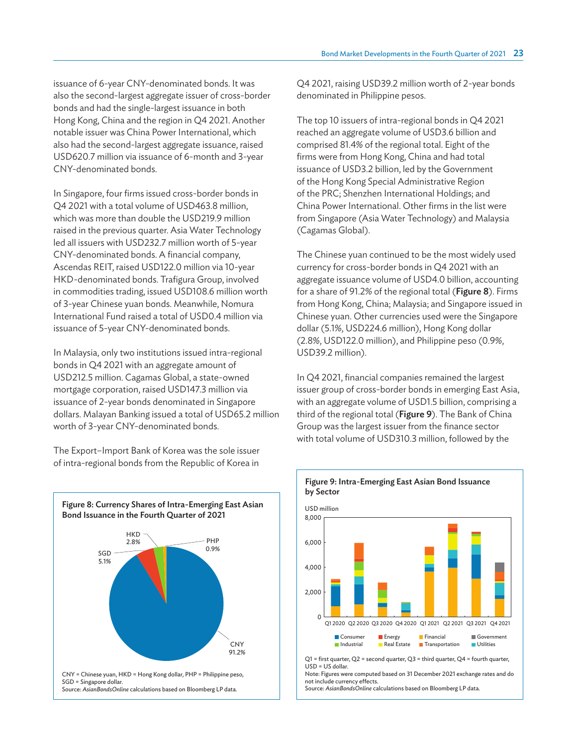issuance of 6-year CNY-denominated bonds. It was also the second-largest aggregate issuer of cross-border bonds and had the single-largest issuance in both Hong Kong, China and the region in Q4 2021. Another notable issuer was China Power International, which also had the second-largest aggregate issuance, raised USD620.7 million via issuance of 6-month and 3-year CNY-denominated bonds.

In Singapore, four firms issued cross-border bonds in Q4 2021 with a total volume of USD463.8 million, which was more than double the USD219.9 million raised in the previous quarter. Asia Water Technology led all issuers with USD232.7 million worth of 5-year CNY-denominated bonds. A financial company, Ascendas REIT, raised USD122.0 million via 10-year HKD-denominated bonds. Trafigura Group, involved in commodities trading, issued USD108.6 million worth of 3-year Chinese yuan bonds. Meanwhile, Nomura International Fund raised a total of USD0.4 million via issuance of 5-year CNY-denominated bonds.

In Malaysia, only two institutions issued intra-regional bonds in Q4 2021 with an aggregate amount of USD212.5 million. Cagamas Global, a state-owned mortgage corporation, raised USD147.3 million via issuance of 2-year bonds denominated in Singapore dollars. Malayan Banking issued a total of USD65.2 million worth of 3-year CNY-denominated bonds.

The Export–Import Bank of Korea was the sole issuer of intra-regional bonds from the Republic of Korea in



Q4 2021, raising USD39.2 million worth of 2-year bonds denominated in Philippine pesos.

The top 10 issuers of intra-regional bonds in Q4 2021 reached an aggregate volume of USD3.6 billion and comprised 81.4% of the regional total. Eight of the firms were from Hong Kong, China and had total issuance of USD3.2 billion, led by the Government of the Hong Kong Special Administrative Region of the PRC; Shenzhen International Holdings; and China Power International. Other firms in the list were from Singapore (Asia Water Technology) and Malaysia (Cagamas Global).

The Chinese yuan continued to be the most widely used currency for cross-border bonds in Q4 2021 with an aggregate issuance volume of USD4.0 billion, accounting for a share of 91.2% of the regional total (Figure 8). Firms from Hong Kong, China; Malaysia; and Singapore issued in Chinese yuan. Other currencies used were the Singapore dollar (5.1%, USD224.6 million), Hong Kong dollar (2.8%, USD122.0 million), and Philippine peso (0.9%, USD39.2 million).

In Q4 2021, financial companies remained the largest issuer group of cross-border bonds in emerging East Asia, with an aggregate volume of USD1.5 billion, comprising a third of the regional total (Figure 9). The Bank of China Group was the largest issuer from the finance sector with total volume of USD310.3 million, followed by the



not include currency effects.

Source: *AsianBondsOnline* calculations based on Bloomberg LP data.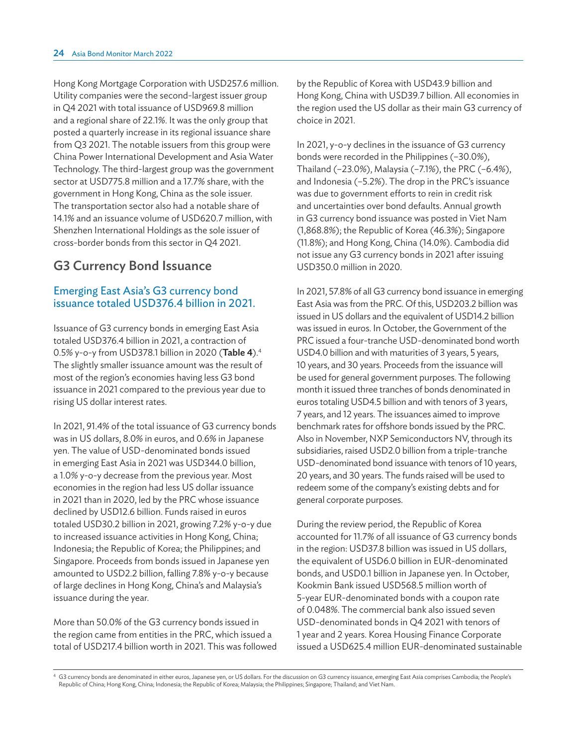Hong Kong Mortgage Corporation with USD257.6 million. Utility companies were the second-largest issuer group in Q4 2021 with total issuance of USD969.8 million and a regional share of 22.1%. It was the only group that posted a quarterly increase in its regional issuance share from Q3 2021. The notable issuers from this group were China Power International Development and Asia Water Technology. The third-largest group was the government sector at USD775.8 million and a 17.7% share, with the government in Hong Kong, China as the sole issuer. The transportation sector also had a notable share of 14.1% and an issuance volume of USD620.7 million, with Shenzhen International Holdings as the sole issuer of cross-border bonds from this sector in Q4 2021.

### G3 Currency Bond Issuance

### Emerging East Asia's G3 currency bond issuance totaled USD376.4 billion in 2021.

Issuance of G3 currency bonds in emerging East Asia totaled USD376.4 billion in 2021, a contraction of 0.5% y-o-y from USD378.1 billion in 2020 (Table 4).<sup>4</sup> The slightly smaller issuance amount was the result of most of the region's economies having less G3 bond issuance in 2021 compared to the previous year due to rising US dollar interest rates.

In 2021, 91.4% of the total issuance of G3 currency bonds was in US dollars, 8.0% in euros, and 0.6% in Japanese yen. The value of USD-denominated bonds issued in emerging East Asia in 2021 was USD344.0 billion, a 1.0% y-o-y decrease from the previous year. Most economies in the region had less US dollar issuance in 2021 than in 2020, led by the PRC whose issuance declined by USD12.6 billion. Funds raised in euros totaled USD30.2 billion in 2021, growing 7.2% y-o-y due to increased issuance activities in Hong Kong, China; Indonesia; the Republic of Korea; the Philippines; and Singapore. Proceeds from bonds issued in Japanese yen amounted to USD2.2 billion, falling 7.8% y-o-y because of large declines in Hong Kong, China's and Malaysia's issuance during the year.

More than 50.0% of the G3 currency bonds issued in the region came from entities in the PRC, which issued a total of USD217.4 billion worth in 2021. This was followed by the Republic of Korea with USD43.9 billion and Hong Kong, China with USD39.7 billion. All economies in the region used the US dollar as their main G3 currency of choice in 2021.

In 2021, y-o-y declines in the issuance of G3 currency bonds were recorded in the Philippines (–30.0%), Thailand (–23.0%), Malaysia (–7.1%), the PRC (–6.4%), and Indonesia (–5.2%). The drop in the PRC's issuance was due to government efforts to rein in credit risk and uncertainties over bond defaults. Annual growth in G3 currency bond issuance was posted in Viet Nam (1,868.8%); the Republic of Korea (46.3%); Singapore (11.8%); and Hong Kong, China (14.0%). Cambodia did not issue any G3 currency bonds in 2021 after issuing USD350.0 million in 2020.

In 2021, 57.8% of all G3 currency bond issuance in emerging East Asia was from the PRC. Of this, USD203.2 billion was issued in US dollars and the equivalent of USD14.2 billion was issued in euros. In October, the Government of the PRC issued a four-tranche USD-denominated bond worth USD4.0 billion and with maturities of 3 years, 5 years, 10 years, and 30 years. Proceeds from the issuance will be used for general government purposes. The following month it issued three tranches of bonds denominated in euros totaling USD4.5 billion and with tenors of 3 years, 7 years, and 12 years. The issuances aimed to improve benchmark rates for offshore bonds issued by the PRC. Also in November, NXP Semiconductors NV, through its subsidiaries, raised USD2.0 billion from a triple-tranche USD-denominated bond issuance with tenors of 10 years, 20 years, and 30 years. The funds raised will be used to redeem some of the company's existing debts and for general corporate purposes.

During the review period, the Republic of Korea accounted for 11.7% of all issuance of G3 currency bonds in the region: USD37.8 billion was issued in US dollars, the equivalent of USD6.0 billion in EUR-denominated bonds, and USD0.1 billion in Japanese yen. In October, Kookmin Bank issued USD568.5 million worth of 5-year EUR-denominated bonds with a coupon rate of 0.048%. The commercial bank also issued seven USD-denominated bonds in Q4 2021 with tenors of 1 year and 2 years. Korea Housing Finance Corporate issued a USD625.4 million EUR-denominated sustainable

4 G3 currency bonds are denominated in either euros, Japanese yen, or US dollars. For the discussion on G3 currency issuance, emerging East Asia comprises Cambodia; the People's Republic of China; Hong Kong, China; Indonesia; the Republic of Korea; Malaysia; the Philippines; Singapore; Thailand; and Viet Nam.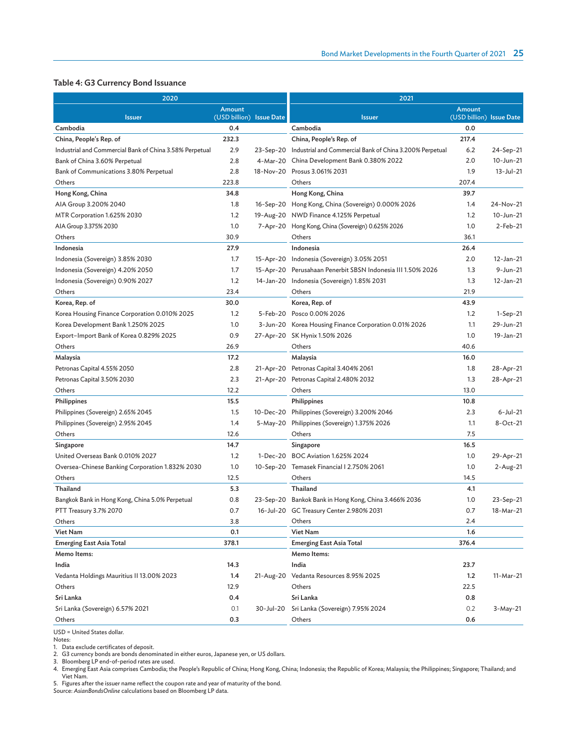#### Table 4: G3 Currency Bond Issuance

| 2020                                                    |                                           | 2021 |                                                                    |                                           |                 |  |  |  |
|---------------------------------------------------------|-------------------------------------------|------|--------------------------------------------------------------------|-------------------------------------------|-----------------|--|--|--|
| <b>Issuer</b>                                           | <b>Amount</b><br>(USD billion) Issue Date |      | <b>Issuer</b>                                                      | <b>Amount</b><br>(USD billion) Issue Date |                 |  |  |  |
| Cambodia                                                | 0.4                                       |      | Cambodia                                                           | 0.0                                       |                 |  |  |  |
| China, People's Rep. of                                 | 232.3                                     |      | China, People's Rep. of                                            | 217.4                                     |                 |  |  |  |
| Industrial and Commercial Bank of China 3.58% Perpetual | 2.9                                       |      | 23-Sep-20 Industrial and Commercial Bank of China 3.200% Perpetual | 6.2                                       | 24-Sep-21       |  |  |  |
| Bank of China 3.60% Perpetual                           | 2.8                                       |      | 4-Mar-20 China Development Bank 0.380% 2022                        | 2.0                                       | 10-Jun-21       |  |  |  |
| Bank of Communications 3.80% Perpetual                  | 2.8                                       |      | 18-Nov-20 Prosus 3.061% 2031                                       | 1.9                                       | $13 - Jul - 21$ |  |  |  |
| Others                                                  | 223.8                                     |      | Others                                                             | 207.4                                     |                 |  |  |  |
| Hong Kong, China                                        | 34.8                                      |      | Hong Kong, China                                                   | 39.7                                      |                 |  |  |  |
| AIA Group 3.200% 2040                                   | 1.8                                       |      | 16-Sep-20 Hong Kong, China (Sovereign) 0.000% 2026                 | 1,4                                       | 24-Nov-21       |  |  |  |
| MTR Corporation 1.625% 2030                             | 1.2                                       |      | 19-Aug-20 NWD Finance 4.125% Perpetual                             | 1.2                                       | $10 - Jun - 21$ |  |  |  |
| AIA Group 3.375% 2030                                   | 1.0                                       |      | 7-Apr-20 Hong Kong, China (Sovereign) 0.625% 2026                  | 1.0                                       | $2-Feb-21$      |  |  |  |
| Others                                                  | 30.9                                      |      | Others                                                             | 36.1                                      |                 |  |  |  |
| Indonesia                                               | 27.9                                      |      | Indonesia                                                          | 26.4                                      |                 |  |  |  |
| Indonesia (Sovereign) 3.85% 2030                        | 1.7                                       |      | 15-Apr-20 Indonesia (Sovereign) 3.05% 2051                         | 2.0                                       | 12-Jan-21       |  |  |  |
| Indonesia (Sovereign) 4.20% 2050                        | 1.7                                       |      | 15-Apr-20 Perusahaan Penerbit SBSN Indonesia III 1.50% 2026        | 1.3                                       | 9-Jun-21        |  |  |  |
| Indonesia (Sovereign) 0.90% 2027                        | 1.2                                       |      | 14-Jan-20 Indonesia (Sovereign) 1.85% 2031                         | 1.3                                       | 12-Jan-21       |  |  |  |
| Others                                                  | 23.4                                      |      | Others                                                             | 21.9                                      |                 |  |  |  |
| Korea, Rep. of                                          | 30.0                                      |      | Korea, Rep. of                                                     | 43.9                                      |                 |  |  |  |
| Korea Housing Finance Corporation 0.010% 2025           | 1.2                                       |      | 5-Feb-20 Posco 0.00% 2026                                          | 1.2                                       | $1-Sep-21$      |  |  |  |
| Korea Development Bank 1.250% 2025                      | 1.0                                       |      | 3-Jun-20 Korea Housing Finance Corporation 0.01% 2026              | 1.1                                       | 29-Jun-21       |  |  |  |
| Export-Import Bank of Korea 0.829% 2025                 | 0.9                                       |      | 27-Apr-20 SK Hynix 1.50% 2026                                      | 1.0                                       | 19-Jan-21       |  |  |  |
| Others                                                  | 26.9                                      |      | Others                                                             | 40.6                                      |                 |  |  |  |
| Malaysia                                                | 17.2                                      |      | Malaysia                                                           | 16.0                                      |                 |  |  |  |
| Petronas Capital 4.55% 2050                             | 2.8                                       |      | 21-Apr-20 Petronas Capital 3.404% 2061                             | 1.8                                       | 28-Apr-21       |  |  |  |
| Petronas Capital 3.50% 2030                             | 2.3                                       |      | 21-Apr-20 Petronas Capital 2.480% 2032                             | 1.3                                       | 28-Apr-21       |  |  |  |
| Others                                                  | 12.2                                      |      | Others                                                             | 13.0                                      |                 |  |  |  |
| Philippines                                             | 15.5                                      |      | Philippines                                                        | 10.8                                      |                 |  |  |  |
| Philippines (Sovereign) 2.65% 2045                      | 1.5                                       |      | 10-Dec-20 Philippines (Sovereign) 3.200% 2046                      | 2.3                                       | $6$ -Jul-21     |  |  |  |
| Philippines (Sovereign) 2.95% 2045                      | 1.4                                       |      | 5-May-20 Philippines (Sovereign) 1.375% 2026                       | 1.1                                       | 8-Oct-21        |  |  |  |
| Others                                                  | 12.6                                      |      | Others                                                             | 7.5                                       |                 |  |  |  |
| Singapore                                               | 14.7                                      |      | Singapore                                                          | 16.5                                      |                 |  |  |  |
| United Overseas Bank 0.010% 2027                        | 1.2                                       |      | 1-Dec-20 BOC Aviation 1.625% 2024                                  | 1.0                                       | 29-Apr-21       |  |  |  |
| Oversea-Chinese Banking Corporation 1.832% 2030         | 1.0                                       |      | 10-Sep-20 Temasek Financial I 2.750% 2061                          | 1.0                                       | $2 - Aug-21$    |  |  |  |
| Others                                                  | 12.5                                      |      | Others                                                             | 14.5                                      |                 |  |  |  |
| <b>Thailand</b>                                         | 5.3                                       |      | Thailand                                                           | 4.1                                       |                 |  |  |  |
| Bangkok Bank in Hong Kong, China 5.0% Perpetual         | 0.8                                       |      | 23-Sep-20 Bankok Bank in Hong Kong, China 3.466% 2036              | 1.0                                       | 23-Sep-21       |  |  |  |
| PTT Treasury 3.7% 2070                                  | 0.7                                       |      | 16-Jul-20 GC Treasury Center 2.980% 2031                           | 0.7                                       | 18-Mar-21       |  |  |  |
| Others                                                  | 3.8                                       |      | Others                                                             | 2.4                                       |                 |  |  |  |
| Viet Nam                                                | 0.1                                       |      | Viet Nam                                                           | 1.6                                       |                 |  |  |  |
| <b>Emerging East Asia Total</b>                         | 378.1                                     |      | <b>Emerging East Asia Total</b>                                    | 376.4                                     |                 |  |  |  |
| Memo Items:                                             |                                           |      | Memo Items:                                                        |                                           |                 |  |  |  |
| India                                                   | 14.3                                      |      | India                                                              | 23.7                                      |                 |  |  |  |
| Vedanta Holdings Mauritius II 13.00% 2023               | 1.4                                       |      | 21-Aug-20 Vedanta Resources 8.95% 2025                             | 1.2                                       | 11-Mar-21       |  |  |  |
| Others                                                  | 12.9                                      |      | Others                                                             | 22.5                                      |                 |  |  |  |
| Sri Lanka                                               | 0.4                                       |      | Sri Lanka                                                          | 0.8                                       |                 |  |  |  |
| Sri Lanka (Sovereign) 6.57% 2021                        | 0.1                                       |      | 30-Jul-20 Sri Lanka (Sovereign) 7.95% 2024                         | 0.2                                       | 3-May-21        |  |  |  |
| Others                                                  | 0.3                                       |      | Others                                                             | 0.6                                       |                 |  |  |  |

USD = United States dollar.

Notes:

1. Data exclude certificates of deposit. 2. G3 currency bonds are bonds denominated in either euros, Japanese yen, or US dollars.

3. Bloomberg LP end-of-period rates are used.

4. Emerging East Asia comprises Cambodia; the People's Republic of China; Hong Kong, China; Indonesia; the Republic of Korea; Malaysia; the Philippines; Singapore; Thailand; and Viet Nam.

5. Figures after the issuer name reflect the coupon rate and year of maturity of the bond. Source: *AsianBondsOnline* calculations based on Bloomberg LP data.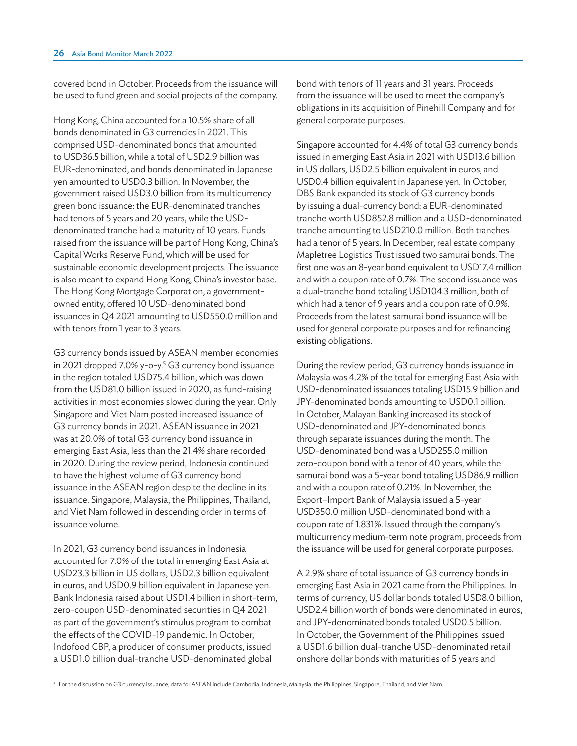covered bond in October. Proceeds from the issuance will be used to fund green and social projects of the company.

Hong Kong, China accounted for a 10.5% share of all bonds denominated in G3 currencies in 2021. This comprised USD-denominated bonds that amounted to USD36.5 billion, while a total of USD2.9 billion was EUR-denominated, and bonds denominated in Japanese yen amounted to USD0.3 billion. In November, the government raised USD3.0 billion from its multicurrency green bond issuance: the EUR-denominated tranches had tenors of 5 years and 20 years, while the USDdenominated tranche had a maturity of 10 years. Funds raised from the issuance will be part of Hong Kong, China's Capital Works Reserve Fund, which will be used for sustainable economic development projects. The issuance is also meant to expand Hong Kong, China's investor base. The Hong Kong Mortgage Corporation, a governmentowned entity, offered 10 USD-denominated bond issuances in Q4 2021 amounting to USD550.0 million and with tenors from 1 year to 3 years.

G3 currency bonds issued by ASEAN member economies in 2021 dropped 7.0% y-o-y.<sup>5</sup> G3 currency bond issuance in the region totaled USD75.4 billion, which was down from the USD81.0 billion issued in 2020, as fund-raising activities in most economies slowed during the year. Only Singapore and Viet Nam posted increased issuance of G3 currency bonds in 2021. ASEAN issuance in 2021 was at 20.0% of total G3 currency bond issuance in emerging East Asia, less than the 21.4% share recorded in 2020. During the review period, Indonesia continued to have the highest volume of G3 currency bond issuance in the ASEAN region despite the decline in its issuance. Singapore, Malaysia, the Philippines, Thailand, and Viet Nam followed in descending order in terms of issuance volume.

In 2021, G3 currency bond issuances in Indonesia accounted for 7.0% of the total in emerging East Asia at USD23.3 billion in US dollars, USD2.3 billion equivalent in euros, and USD0.9 billion equivalent in Japanese yen. Bank Indonesia raised about USD1.4 billion in short-term, zero-coupon USD-denominated securities in Q4 2021 as part of the government's stimulus program to combat the effects of the COVID-19 pandemic. In October, Indofood CBP, a producer of consumer products, issued a USD1.0 billion dual-tranche USD-denominated global

bond with tenors of 11 years and 31 years. Proceeds from the issuance will be used to meet the company's obligations in its acquisition of Pinehill Company and for general corporate purposes.

Singapore accounted for 4.4% of total G3 currency bonds issued in emerging East Asia in 2021 with USD13.6 billion in US dollars, USD2.5 billion equivalent in euros, and USD0.4 billion equivalent in Japanese yen. In October, DBS Bank expanded its stock of G3 currency bonds by issuing a dual-currency bond: a EUR-denominated tranche worth USD852.8 million and a USD-denominated tranche amounting to USD210.0 million. Both tranches had a tenor of 5 years. In December, real estate company Mapletree Logistics Trust issued two samurai bonds. The first one was an 8-year bond equivalent to USD17.4 million and with a coupon rate of 0.7%. The second issuance was a dual-tranche bond totaling USD104.3 million, both of which had a tenor of 9 years and a coupon rate of 0.9%. Proceeds from the latest samurai bond issuance will be used for general corporate purposes and for refinancing existing obligations.

During the review period, G3 currency bonds issuance in Malaysia was 4.2% of the total for emerging East Asia with USD-denominated issuances totaling USD15.9 billion and JPY-denominated bonds amounting to USD0.1 billion. In October, Malayan Banking increased its stock of USD-denominated and JPY-denominated bonds through separate issuances during the month. The USD-denominated bond was a USD255.0 million zero-coupon bond with a tenor of 40 years, while the samurai bond was a 5-year bond totaling USD86.9 million and with a coupon rate of 0.21%. In November, the Export–Import Bank of Malaysia issued a 5-year USD350.0 million USD-denominated bond with a coupon rate of 1.831%. Issued through the company's multicurrency medium-term note program, proceeds from the issuance will be used for general corporate purposes.

A 2.9% share of total issuance of G3 currency bonds in emerging East Asia in 2021 came from the Philippines. In terms of currency, US dollar bonds totaled USD8.0 billion, USD2.4 billion worth of bonds were denominated in euros, and JPY-denominated bonds totaled USD0.5 billion. In October, the Government of the Philippines issued a USD1.6 billion dual-tranche USD-denominated retail onshore dollar bonds with maturities of 5 years and

 $^5\,$  For the discussion on G3 currency issuance, data for ASEAN include Cambodia, Indonesia, Malaysia, the Philippines, Singapore, Thailand, and Viet Nam.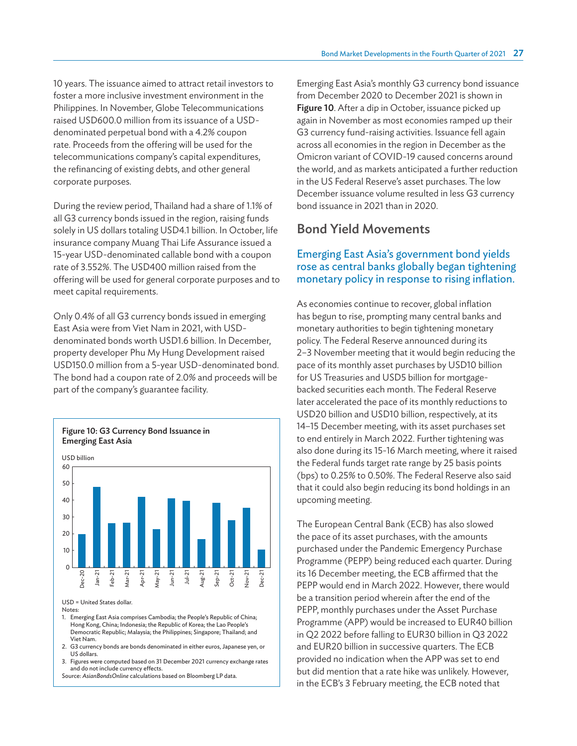10 years. The issuance aimed to attract retail investors to foster a more inclusive investment environment in the Philippines. In November, Globe Telecommunications raised USD600.0 million from its issuance of a USDdenominated perpetual bond with a 4.2% coupon rate. Proceeds from the offering will be used for the telecommunications company's capital expenditures, the refinancing of existing debts, and other general corporate purposes.

During the review period, Thailand had a share of 1.1% of all G3 currency bonds issued in the region, raising funds solely in US dollars totaling USD4.1 billion. In October, life insurance company Muang Thai Life Assurance issued a 15-year USD-denominated callable bond with a coupon rate of 3.552%. The USD400 million raised from the offering will be used for general corporate purposes and to meet capital requirements.

Only 0.4% of all G3 currency bonds issued in emerging East Asia were from Viet Nam in 2021, with USDdenominated bonds worth USD1.6 billion. In December, property developer Phu My Hung Development raised USD150.0 million from a 5-year USD-denominated bond. The bond had a coupon rate of 2.0% and proceeds will be part of the company's guarantee facility.



USD = United States dollar. Notes:

1. Emerging East Asia comprises Cambodia; the People's Republic of China; Hong Kong, China; Indonesia; the Republic of Korea; the Lao People's Democratic Republic; Malaysia; the Philippines; Singapore; Thailand; and Viet Nam.

2. G3 currency bonds are bonds denominated in either euros, Japanese yen, or US dollars.

3. Figures were computed based on 31 December 2021 currency exchange rates and do not include currency effects.

Source: *AsianBondsOnline* calculations based on Bloomberg LP data.

Emerging East Asia's monthly G3 currency bond issuance from December 2020 to December 2021 is shown in Figure 10. After a dip in October, issuance picked up again in November as most economies ramped up their G3 currency fund-raising activities. Issuance fell again across all economies in the region in December as the Omicron variant of COVID-19 caused concerns around the world, and as markets anticipated a further reduction in the US Federal Reserve's asset purchases. The low December issuance volume resulted in less G3 currency bond issuance in 2021 than in 2020.

### Bond Yield Movements

### Emerging East Asia's government bond yields rose as central banks globally began tightening monetary policy in response to rising inflation.

As economies continue to recover, global inflation has begun to rise, prompting many central banks and monetary authorities to begin tightening monetary policy. The Federal Reserve announced during its 2–3 November meeting that it would begin reducing the pace of its monthly asset purchases by USD10 billion for US Treasuries and USD5 billion for mortgagebacked securities each month. The Federal Reserve later accelerated the pace of its monthly reductions to USD20 billion and USD10 billion, respectively, at its 14–15 December meeting, with its asset purchases set to end entirely in March 2022. Further tightening was also done during its 15-16 March meeting, where it raised the Federal funds target rate range by 25 basis points (bps) to 0.25% to 0.50%. The Federal Reserve also said that it could also begin reducing its bond holdings in an upcoming meeting.

The European Central Bank (ECB) has also slowed the pace of its asset purchases, with the amounts purchased under the Pandemic Emergency Purchase Programme (PEPP) being reduced each quarter. During its 16 December meeting, the ECB affirmed that the PEPP would end in March 2022. However, there would be a transition period wherein after the end of the PEPP, monthly purchases under the Asset Purchase Programme (APP) would be increased to EUR40 billion in Q2 2022 before falling to EUR30 billion in Q3 2022 and EUR20 billion in successive quarters. The ECB provided no indication when the APP was set to end but did mention that a rate hike was unlikely. However, in the ECB's 3 February meeting, the ECB noted that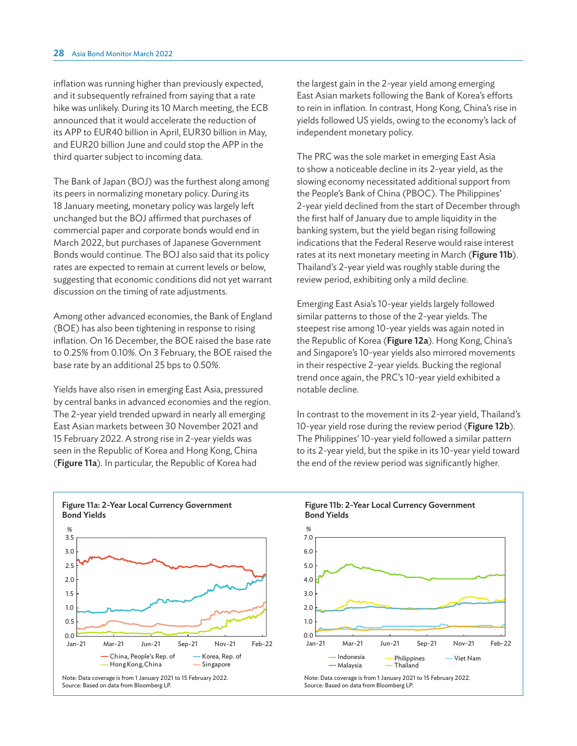inflation was running higher than previously expected, and it subsequently refrained from saying that a rate hike was unlikely. During its 10 March meeting, the ECB announced that it would accelerate the reduction of its APP to EUR40 billion in April, EUR30 billion in May, and EUR20 billion June and could stop the APP in the third quarter subject to incoming data.

The Bank of Japan (BOJ) was the furthest along among its peers in normalizing monetary policy. During its 18 January meeting, monetary policy was largely left unchanged but the BOJ affirmed that purchases of commercial paper and corporate bonds would end in March 2022, but purchases of Japanese Government Bonds would continue. The BOJ also said that its policy rates are expected to remain at current levels or below, suggesting that economic conditions did not yet warrant discussion on the timing of rate adjustments.

Among other advanced economies, the Bank of England (BOE) has also been tightening in response to rising inflation. On 16 December, the BOE raised the base rate to 0.25% from 0.10%. On 3 February, the BOE raised the base rate by an additional 25 bps to 0.50%.

Yields have also risen in emerging East Asia, pressured by central banks in advanced economies and the region. The 2-year yield trended upward in nearly all emerging East Asian markets between 30 November 2021 and 15 February 2022. A strong rise in 2-year yields was seen in the Republic of Korea and Hong Kong, China (Figure 11a). In particular, the Republic of Korea had

the largest gain in the 2-year yield among emerging East Asian markets following the Bank of Korea's efforts to rein in inflation. In contrast, Hong Kong, China's rise in yields followed US yields, owing to the economy's lack of independent monetary policy.

The PRC was the sole market in emerging East Asia to show a noticeable decline in its 2-year yield, as the slowing economy necessitated additional support from the People's Bank of China (PBOC). The Philippines' 2-year yield declined from the start of December through the first half of January due to ample liquidity in the banking system, but the yield began rising following indications that the Federal Reserve would raise interest rates at its next monetary meeting in March (Figure 11b). Thailand's 2-year yield was roughly stable during the review period, exhibiting only a mild decline.

Emerging East Asia's 10-year yields largely followed similar patterns to those of the 2-year yields. The steepest rise among 10-year yields was again noted in the Republic of Korea (Figure 12a). Hong Kong, China's and Singapore's 10-year yields also mirrored movements in their respective 2-year yields. Bucking the regional trend once again, the PRC's 10-year yield exhibited a notable decline.

In contrast to the movement in its 2-year yield, Thailand's 10-year yield rose during the review period (Figure 12b). The Philippines' 10-year yield followed a similar pattern to its 2-year yield, but the spike in its 10-year yield toward the end of the review period was significantly higher.







Note: Data coverage is from 1 January 2021 to 15 February 2022. Source: Based on data from Bloomberg LP.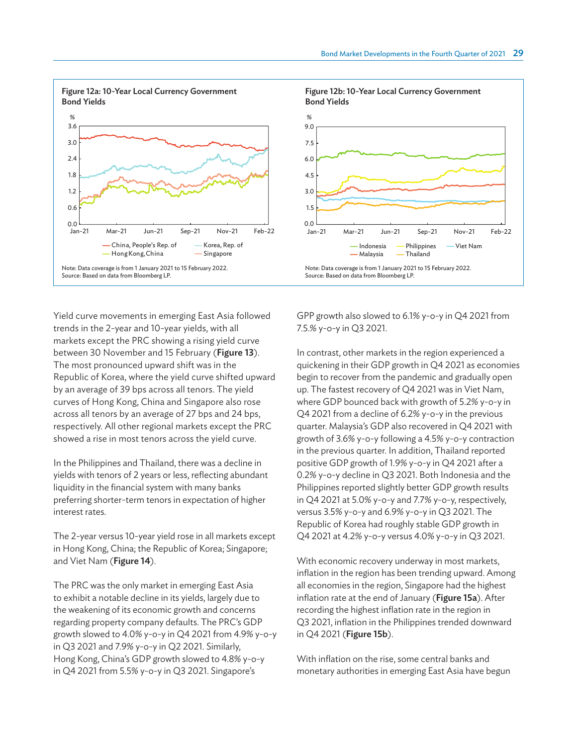

Figure 12b: 10-Year Local Currency Government

Yield curve movements in emerging East Asia followed trends in the 2-year and 10-year yields, with all markets except the PRC showing a rising yield curve between 30 November and 15 February (Figure 13). The most pronounced upward shift was in the Republic of Korea, where the yield curve shifted upward by an average of 39 bps across all tenors. The yield curves of Hong Kong, China and Singapore also rose across all tenors by an average of 27 bps and 24 bps, respectively. All other regional markets except the PRC showed a rise in most tenors across the yield curve.

In the Philippines and Thailand, there was a decline in yields with tenors of 2 years or less, reflecting abundant liquidity in the financial system with many banks preferring shorter-term tenors in expectation of higher interest rates.

The 2-year versus 10-year yield rose in all markets except in Hong Kong, China; the Republic of Korea; Singapore; and Viet Nam (Figure 14).

The PRC was the only market in emerging East Asia to exhibit a notable decline in its yields, largely due to the weakening of its economic growth and concerns regarding property company defaults. The PRC's GDP growth slowed to 4.0% y-o-y in Q4 2021 from 4.9% y-o-y in Q3 2021 and 7.9% y-o-y in Q2 2021. Similarly, Hong Kong, China's GDP growth slowed to 4.8% y-o-y in Q4 2021 from 5.5% y-o-y in Q3 2021. Singapore's

GPP growth also slowed to 6.1% y-o-y in Q4 2021 from 7.5.% y-o-y in Q3 2021.

In contrast, other markets in the region experienced a quickening in their GDP growth in Q4 2021 as economies begin to recover from the pandemic and gradually open up. The fastest recovery of Q4 2021 was in Viet Nam, where GDP bounced back with growth of 5.2% y-o-y in Q4 2021 from a decline of 6.2% y-o-y in the previous quarter. Malaysia's GDP also recovered in Q4 2021 with growth of 3.6% y-o-y following a 4.5% y-o-y contraction in the previous quarter. In addition, Thailand reported positive GDP growth of 1.9% y-o-y in Q4 2021 after a 0.2% y-o-y decline in Q3 2021. Both Indonesia and the Philippines reported slightly better GDP growth results in  $Q4$  2021 at 5.0% y-o-y and 7.7% y-o-y, respectively, versus 3.5% y-o-y and 6.9% y-o-y in Q3 2021. The Republic of Korea had roughly stable GDP growth in Q4 2021 at 4.2% y-o-y versus 4.0% y-o-y in Q3 2021.

With economic recovery underway in most markets, inflation in the region has been trending upward. Among all economies in the region, Singapore had the highest inflation rate at the end of January (Figure 15a). After recording the highest inflation rate in the region in Q3 2021, inflation in the Philippines trended downward in Q4 2021 (Figure 15b).

With inflation on the rise, some central banks and monetary authorities in emerging East Asia have begun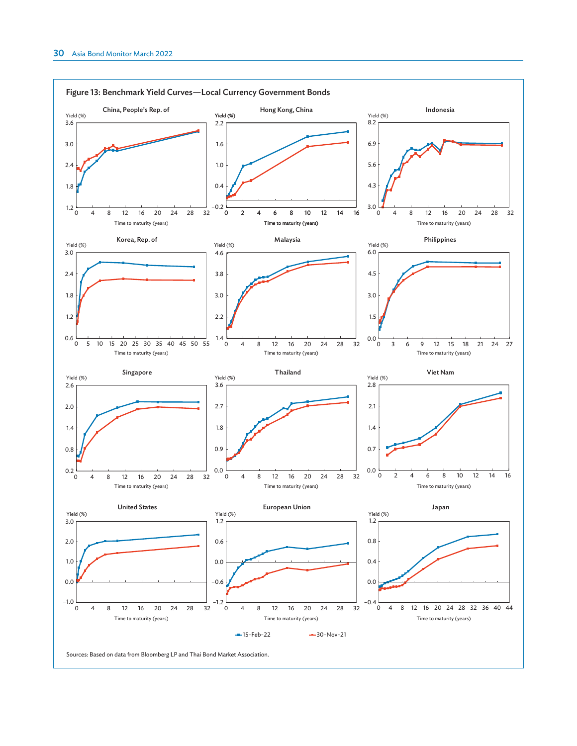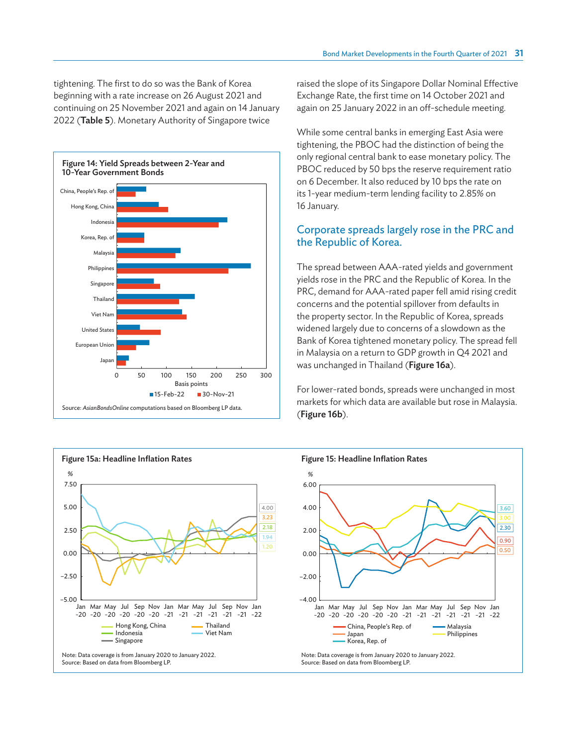tightening. The first to do so was the Bank of Korea beginning with a rate increase on 26 August 2021 and continuing on 25 November 2021 and again on 14 January 2022 (Table 5). Monetary Authority of Singapore twice



7.50 5.00 2.50 0.00 –2.50 –5.00  $\frac{1}{2}$ Hong Kong, China - Singapore Indonesia Thailand Viet Nam Jan Mar May Jul Sep Nov Jan Mar May Jul -20 -20 -20 -20 -20 -20 -21 -21 -21 -21 -21 -21 Sep Nov Jan  $-22$ 2.18 1.94 3.23 4.00 Note: Data coverage is from January 2020 to January 2022. Source: Based on data from Bloomberg LP. Figure 15a: Headline Inflation Rates Figure 15: Headline Inflation Rates

raised the slope of its Singapore Dollar Nominal Effective Exchange Rate, the first time on 14 October 2021 and again on 25 January 2022 in an off-schedule meeting.

While some central banks in emerging East Asia were tightening, the PBOC had the distinction of being the only regional central bank to ease monetary policy. The PBOC reduced by 50 bps the reserve requirement ratio on 6 December. It also reduced by 10 bps the rate on its 1-year medium-term lending facility to 2.85% on 16 January.

#### Corporate spreads largely rose in the PRC and the Republic of Korea.

The spread between AAA-rated yields and government yields rose in the PRC and the Republic of Korea. In the PRC, demand for AAA-rated paper fell amid rising credit concerns and the potential spillover from defaults in the property sector. In the Republic of Korea, spreads widened largely due to concerns of a slowdown as the Bank of Korea tightened monetary policy. The spread fell in Malaysia on a return to GDP growth in Q4 2021 and was unchanged in Thailand (Figure 16a).

For lower-rated bonds, spreads were unchanged in most markets for which data are available but rose in Malaysia. (Figure 16b).

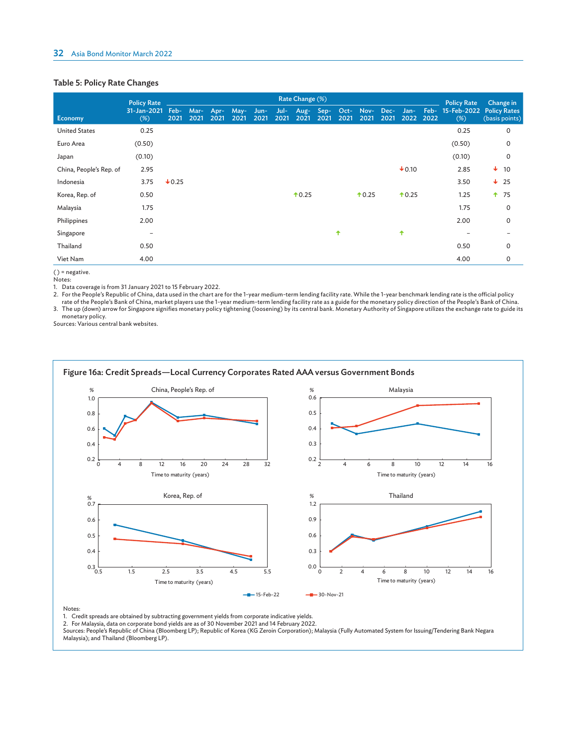#### 32 Asia Bond Monitor March 2022

#### Table 5: Policy Rate Changes

|                         | <b>Policy Rate</b>    | Rate Change (%) |              |              |                   |      |              |                  | <b>Policy Rate</b> | Change in       |              |              |              |      |                         |             |                                       |
|-------------------------|-----------------------|-----------------|--------------|--------------|-------------------|------|--------------|------------------|--------------------|-----------------|--------------|--------------|--------------|------|-------------------------|-------------|---------------------------------------|
| <b>Economy</b>          | 31-Jan-2021<br>$(\%)$ | Feb-<br>2021    | Mar-<br>2021 | Apr-<br>2021 | May- Jun-<br>2021 | 2021 | Jul-<br>2021 | Aug-Sep-<br>2021 | 2021               | $Oct -$<br>2021 | Nov-<br>2021 | Dec-<br>2021 | Jan-<br>2022 | 2022 | Feb- 15-Feb-2022<br>(%) |             | <b>Policy Rates</b><br>(basis points) |
| <b>United States</b>    | 0.25                  |                 |              |              |                   |      |              |                  |                    |                 |              |              |              |      | 0.25                    |             | 0                                     |
| Euro Area               | (0.50)                |                 |              |              |                   |      |              |                  |                    |                 |              |              |              |      | (0.50)                  |             | 0                                     |
| Japan                   | (0.10)                |                 |              |              |                   |      |              |                  |                    |                 |              |              |              |      | (0.10)                  |             | 0                                     |
| China, People's Rep. of | 2.95                  |                 |              |              |                   |      |              |                  |                    |                 |              |              | $+0.10$      |      | 2.85                    | $\ddotmark$ | 10                                    |
| Indonesia               | 3.75                  | $+0.25$         |              |              |                   |      |              |                  |                    |                 |              |              |              |      | 3.50                    |             | $+ 25$                                |
| Korea, Rep. of          | 0.50                  |                 |              |              |                   |      |              | $+0.25$          |                    |                 | $+0.25$      |              | $+0.25$      |      | 1.25                    |             | $+ 75$                                |
| Malaysia                | 1.75                  |                 |              |              |                   |      |              |                  |                    |                 |              |              |              |      | 1.75                    |             | 0                                     |
| Philippines             | 2.00                  |                 |              |              |                   |      |              |                  |                    |                 |              |              |              |      | 2.00                    |             | $\mathbf 0$                           |
| Singapore               | -                     |                 |              |              |                   |      |              |                  |                    | ✦               |              |              | ✦            |      | $\qquad \qquad$         |             | -                                     |
| Thailand                | 0.50                  |                 |              |              |                   |      |              |                  |                    |                 |              |              |              |      | 0.50                    |             | $\mathbf 0$                           |
| Viet Nam                | 4.00                  |                 |              |              |                   |      |              |                  |                    |                 |              |              |              |      | 4.00                    |             | 0                                     |

( ) = negative. Notes:

1. Data coverage is from 31 January 2021 to 15 February 2022.

2. For the People's Republic of China, data used in the chart are for the 1-year medium-term lending facility rate. While the 1-year benchmark lending rate is the official policy<br>rate of the People's Bank of China, market

3. The up (down) arrow for Singapore signifies monetary policy tightening (loosening) by its central bank. Monetary Authority of Singapore utilizes the exchange rate to guide its monetary policy. Sources: Various central bank websites.



Notes:

1. Credit spreads are obtained by subtracting government yields from corporate indicative yields.

2. For Malaysia, data on corporate bond yields are as of 30 November 2021 and 14 February 2022.

Sources: People's Republic of China (Bloomberg LP); Republic of Korea (KG Zeroin Corporation); Malaysia (Fully Automated System for Issuing/Tendering Bank Negara Malaysia); and Thailand (Bloomberg LP).